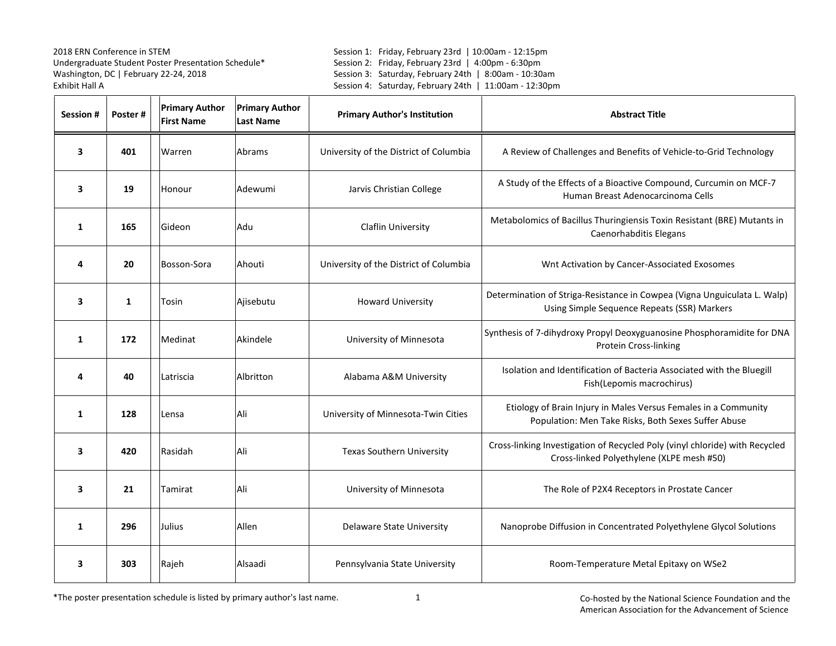Session 1: Friday, February 23rd | 10:00am - 12:15pm Session 2: Friday, February 23rd | 4:00pm - 6:30pm Session 3: Saturday, February 24th | 8:00am - 10:30am Session 4: Saturday, February 24th | 11:00am - 12:30pm

| <b>Session#</b>         | Poster#      | <b>Primary Author</b><br><b>First Name</b> | <b>Primary Author</b><br><b>Last Name</b> | <b>Primary Author's Institution</b>    | <b>Abstract Title</b>                                                                                                    |
|-------------------------|--------------|--------------------------------------------|-------------------------------------------|----------------------------------------|--------------------------------------------------------------------------------------------------------------------------|
| $\overline{\mathbf{3}}$ | 401          | Warren                                     | Abrams                                    | University of the District of Columbia | A Review of Challenges and Benefits of Vehicle-to-Grid Technology                                                        |
| 3                       | 19           | Honour                                     | Adewumi                                   | Jarvis Christian College               | A Study of the Effects of a Bioactive Compound, Curcumin on MCF-7<br>Human Breast Adenocarcinoma Cells                   |
| $\mathbf{1}$            | 165          | Gideon                                     | Adu                                       | <b>Claflin University</b>              | Metabolomics of Bacillus Thuringiensis Toxin Resistant (BRE) Mutants in<br>Caenorhabditis Elegans                        |
| 4                       | 20           | Bosson-Sora                                | Ahouti                                    | University of the District of Columbia | Wnt Activation by Cancer-Associated Exosomes                                                                             |
| 3                       | $\mathbf{1}$ | Tosin                                      | Ajisebutu                                 | <b>Howard University</b>               | Determination of Striga-Resistance in Cowpea (Vigna Unguiculata L. Walp)<br>Using Simple Sequence Repeats (SSR) Markers  |
| 1                       | 172          | Medinat                                    | Akindele                                  | University of Minnesota                | Synthesis of 7-dihydroxy Propyl Deoxyguanosine Phosphoramidite for DNA<br><b>Protein Cross-linking</b>                   |
| 4                       | 40           | Latriscia                                  | Albritton                                 | Alabama A&M University                 | Isolation and Identification of Bacteria Associated with the Bluegill<br>Fish(Lepomis macrochirus)                       |
| $\mathbf{1}$            | 128          | Lensa                                      | Ali                                       | University of Minnesota-Twin Cities    | Etiology of Brain Injury in Males Versus Females in a Community<br>Population: Men Take Risks, Both Sexes Suffer Abuse   |
| 3                       | 420          | Rasidah                                    | Ali                                       | <b>Texas Southern University</b>       | Cross-linking Investigation of Recycled Poly (vinyl chloride) with Recycled<br>Cross-linked Polyethylene (XLPE mesh #50) |
| 3                       | 21           | Tamirat                                    | Ali                                       | University of Minnesota                | The Role of P2X4 Receptors in Prostate Cancer                                                                            |
| 1                       | 296          | Julius                                     | Allen                                     | Delaware State University              | Nanoprobe Diffusion in Concentrated Polyethylene Glycol Solutions                                                        |
| 3                       | 303          | Rajeh                                      | Alsaadi                                   | Pennsylvania State University          | Room-Temperature Metal Epitaxy on WSe2                                                                                   |

\*The poster presentation schedule is listed by primary author's last name.

1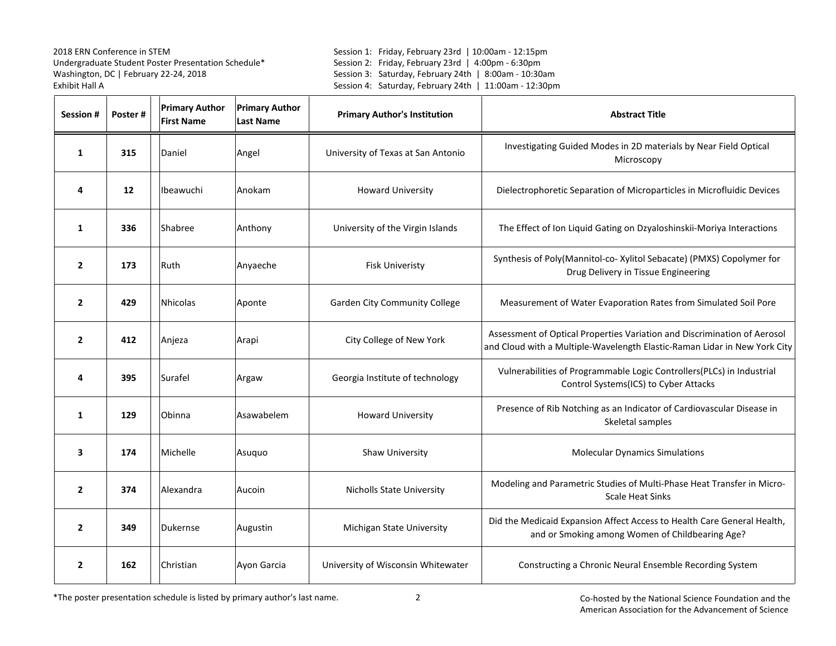Session 1: Friday, February 23rd | 10:00am - 12:15pm Session 2: Friday, February 23rd | 4:00pm - 6:30pm Session 3: Saturday, February 24th | 8:00am - 10:30am Session 4: Saturday, February 24th | 11:00am - 12:30pm

| <b>Session #</b> | Poster# | <b>Primary Author</b><br><b>First Name</b> | <b>Primary Author</b><br><b>Last Name</b> | <b>Primary Author's Institution</b>  | <b>Abstract Title</b>                                                                                                                                 |
|------------------|---------|--------------------------------------------|-------------------------------------------|--------------------------------------|-------------------------------------------------------------------------------------------------------------------------------------------------------|
| 1                | 315     | Daniel                                     | Angel                                     | University of Texas at San Antonio   | Investigating Guided Modes in 2D materials by Near Field Optical<br>Microscopy                                                                        |
| 4                | 12      | Ibeawuchi                                  | Anokam                                    | <b>Howard University</b>             | Dielectrophoretic Separation of Microparticles in Microfluidic Devices                                                                                |
| $\mathbf{1}$     | 336     | Shabree                                    | Anthony                                   | University of the Virgin Islands     | The Effect of Ion Liquid Gating on Dzyaloshinskii-Moriya Interactions                                                                                 |
| $\overline{2}$   | 173     | Ruth                                       | Anyaeche                                  | <b>Fisk Univeristy</b>               | Synthesis of Poly(Mannitol-co- Xylitol Sebacate) (PMXS) Copolymer for<br>Drug Delivery in Tissue Engineering                                          |
| $\overline{2}$   | 429     | <b>Nhicolas</b>                            | Aponte                                    | <b>Garden City Community College</b> | Measurement of Water Evaporation Rates from Simulated Soil Pore                                                                                       |
| $\overline{2}$   | 412     | Anjeza                                     | Arapi                                     | City College of New York             | Assessment of Optical Properties Variation and Discrimination of Aerosol<br>and Cloud with a Multiple-Wavelength Elastic-Raman Lidar in New York City |
| 4                | 395     | Surafel                                    | Argaw                                     | Georgia Institute of technology      | Vulnerabilities of Programmable Logic Controllers(PLCs) in Industrial<br>Control Systems(ICS) to Cyber Attacks                                        |
| $\mathbf{1}$     | 129     | Obinna                                     | Asawabelem                                | <b>Howard University</b>             | Presence of Rib Notching as an Indicator of Cardiovascular Disease in<br>Skeletal samples                                                             |
| 3                | 174     | Michelle                                   | Asuquo                                    | Shaw University                      | <b>Molecular Dynamics Simulations</b>                                                                                                                 |
| $\overline{2}$   | 374     | Alexandra                                  | Aucoin                                    | <b>Nicholls State University</b>     | Modeling and Parametric Studies of Multi-Phase Heat Transfer in Micro-<br><b>Scale Heat Sinks</b>                                                     |
| $\overline{2}$   | 349     | <b>Dukernse</b>                            | Augustin                                  | Michigan State University            | Did the Medicaid Expansion Affect Access to Health Care General Health,<br>and or Smoking among Women of Childbearing Age?                            |
| 2                | 162     | Christian                                  | Ayon Garcia                               | University of Wisconsin Whitewater   | Constructing a Chronic Neural Ensemble Recording System                                                                                               |

\*The poster presentation schedule is listed by primary author's last name.

 $\sim$  2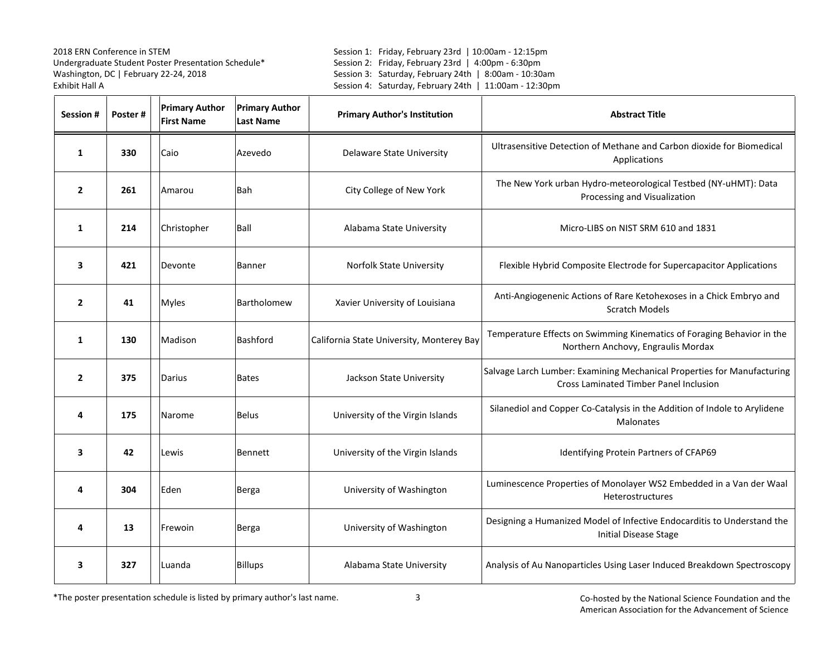Session 1: Friday, February 23rd | 10:00am - 12:15pm Session 2: Friday, February 23rd | 4:00pm - 6:30pm Session 3: Saturday, February 24th | 8:00am - 10:30am Session 4: Saturday, February 24th | 11:00am - 12:30pm

| Session #      | Poster# | <b>Primary Author</b><br><b>First Name</b> | <b>Primary Author</b><br><b>Last Name</b> | <b>Primary Author's Institution</b>       | <b>Abstract Title</b>                                                                                                    |
|----------------|---------|--------------------------------------------|-------------------------------------------|-------------------------------------------|--------------------------------------------------------------------------------------------------------------------------|
| 1              | 330     | Caio                                       | Azevedo                                   | Delaware State University                 | Ultrasensitive Detection of Methane and Carbon dioxide for Biomedical<br>Applications                                    |
| $\overline{2}$ | 261     | Amarou                                     | <b>Bah</b>                                | City College of New York                  | The New York urban Hydro-meteorological Testbed (NY-uHMT): Data<br>Processing and Visualization                          |
| $\mathbf{1}$   | 214     | Christopher                                | Ball                                      | Alabama State University                  | Micro-LIBS on NIST SRM 610 and 1831                                                                                      |
| 3              | 421     | Devonte                                    | <b>Banner</b>                             | Norfolk State University                  | Flexible Hybrid Composite Electrode for Supercapacitor Applications                                                      |
| $\overline{2}$ | 41      | Myles                                      | Bartholomew                               | Xavier University of Louisiana            | Anti-Angiogenenic Actions of Rare Ketohexoses in a Chick Embryo and<br><b>Scratch Models</b>                             |
| 1              | 130     | Madison                                    | <b>Bashford</b>                           | California State University, Monterey Bay | Temperature Effects on Swimming Kinematics of Foraging Behavior in the<br>Northern Anchovy, Engraulis Mordax             |
| $\overline{2}$ | 375     | Darius                                     | <b>Bates</b>                              | Jackson State University                  | Salvage Larch Lumber: Examining Mechanical Properties for Manufacturing<br><b>Cross Laminated Timber Panel Inclusion</b> |
| 4              | 175     | Narome                                     | <b>Belus</b>                              | University of the Virgin Islands          | Silanediol and Copper Co-Catalysis in the Addition of Indole to Arylidene<br>Malonates                                   |
| 3              | 42      | Lewis                                      | Bennett                                   | University of the Virgin Islands          | Identifying Protein Partners of CFAP69                                                                                   |
| 4              | 304     | Eden                                       | Berga                                     | University of Washington                  | Luminescence Properties of Monolayer WS2 Embedded in a Van der Waal<br><b>Heterostructures</b>                           |
| 4              | 13      | Frewoin                                    | Berga                                     | University of Washington                  | Designing a Humanized Model of Infective Endocarditis to Understand the<br><b>Initial Disease Stage</b>                  |
| 3              | 327     | Luanda                                     | <b>Billups</b>                            | Alabama State University                  | Analysis of Au Nanoparticles Using Laser Induced Breakdown Spectroscopy                                                  |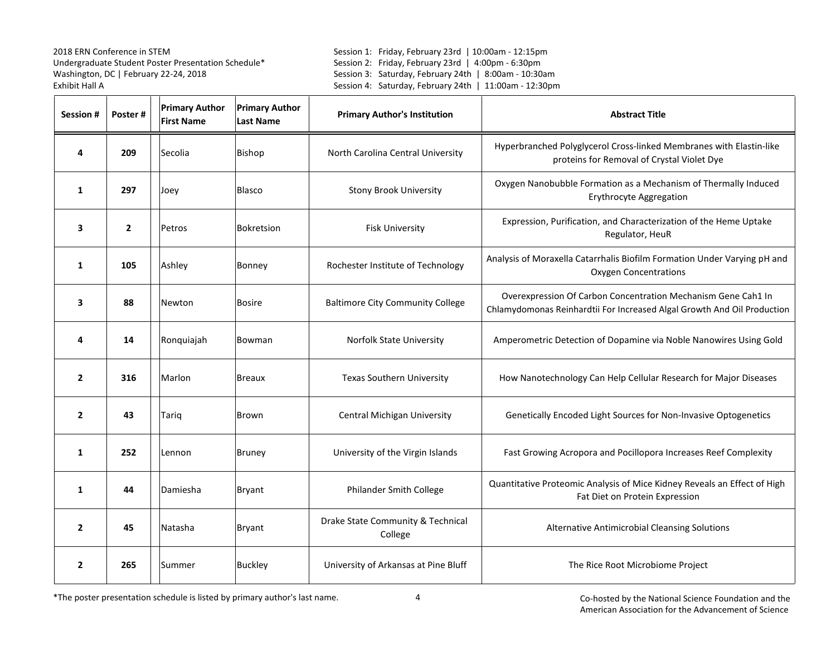Session 1: Friday, February 23rd | 10:00am - 12:15pm Session 2: Friday, February 23rd | 4:00pm - 6:30pm Session 3: Saturday, February 24th | 8:00am - 10:30am Session 4: Saturday, February 24th | 11:00am - 12:30pm

| <b>Session#</b> | Poster#        | <b>Primary Author</b><br><b>First Name</b> | <b>Primary Author</b><br><b>Last Name</b> | <b>Primary Author's Institution</b>          | <b>Abstract Title</b>                                                                                                                    |
|-----------------|----------------|--------------------------------------------|-------------------------------------------|----------------------------------------------|------------------------------------------------------------------------------------------------------------------------------------------|
| 4               | 209            | Secolia                                    | Bishop                                    | North Carolina Central University            | Hyperbranched Polyglycerol Cross-linked Membranes with Elastin-like<br>proteins for Removal of Crystal Violet Dye                        |
| 1               | 297            | Joey                                       | Blasco                                    | <b>Stony Brook University</b>                | Oxygen Nanobubble Formation as a Mechanism of Thermally Induced<br>Erythrocyte Aggregation                                               |
| 3               | $\overline{2}$ | Petros                                     | <b>Bokretsion</b>                         | <b>Fisk University</b>                       | Expression, Purification, and Characterization of the Heme Uptake<br>Regulator, HeuR                                                     |
| 1               | 105            | Ashley                                     | Bonney                                    | Rochester Institute of Technology            | Analysis of Moraxella Catarrhalis Biofilm Formation Under Varying pH and<br><b>Oxygen Concentrations</b>                                 |
| 3               | 88             | Newton                                     | <b>Bosire</b>                             | <b>Baltimore City Community College</b>      | Overexpression Of Carbon Concentration Mechanism Gene Cah1 In<br>Chlamydomonas Reinhardtii For Increased Algal Growth And Oil Production |
| 4               | 14             | Ronquiajah                                 | Bowman                                    | Norfolk State University                     | Amperometric Detection of Dopamine via Noble Nanowires Using Gold                                                                        |
| $\overline{2}$  | 316            | Marlon                                     | <b>Breaux</b>                             | Texas Southern University                    | How Nanotechnology Can Help Cellular Research for Major Diseases                                                                         |
| $\overline{2}$  | 43             | Tarig                                      | <b>Brown</b>                              | Central Michigan University                  | Genetically Encoded Light Sources for Non-Invasive Optogenetics                                                                          |
| 1               | 252            | Lennon                                     | <b>Bruney</b>                             | University of the Virgin Islands             | Fast Growing Acropora and Pocillopora Increases Reef Complexity                                                                          |
| 1               | 44             | Damiesha                                   | <b>Bryant</b>                             | Philander Smith College                      | Quantitative Proteomic Analysis of Mice Kidney Reveals an Effect of High<br>Fat Diet on Protein Expression                               |
| $\overline{2}$  | 45             | Natasha                                    | <b>Bryant</b>                             | Drake State Community & Technical<br>College | Alternative Antimicrobial Cleansing Solutions                                                                                            |
| $\overline{2}$  | 265            | Summer                                     | <b>Buckley</b>                            | University of Arkansas at Pine Bluff         | The Rice Root Microbiome Project                                                                                                         |

\*The poster presentation schedule is listed by primary author's last name.

4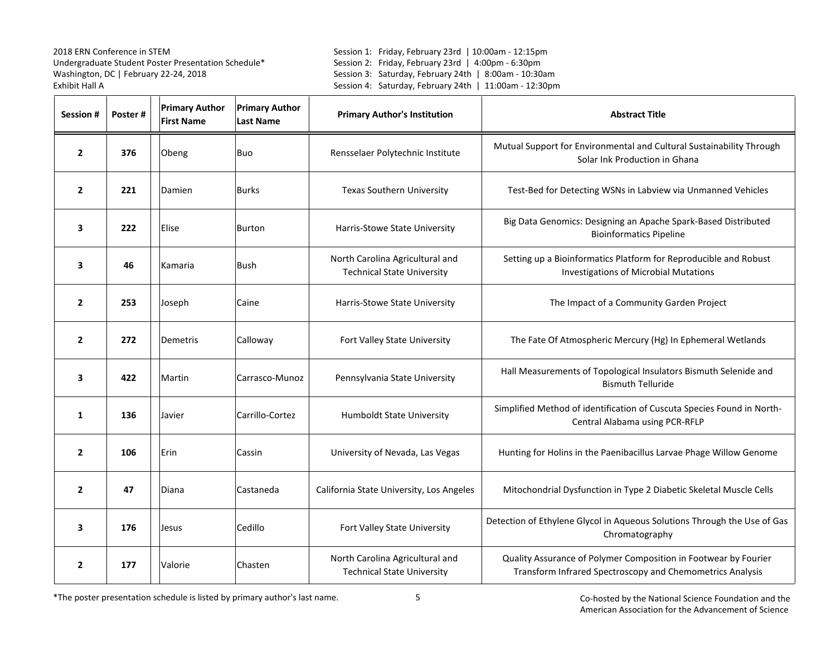Session 1: Friday, February 23rd | 10:00am - 12:15pm Session 2: Friday, February 23rd | 4:00pm - 6:30pm Session 3: Saturday, February 24th | 8:00am - 10:30am Session 4: Saturday, February 24th | 11:00am - 12:30pm

| <b>Session#</b> | Poster# | <b>Primary Author</b><br><b>First Name</b> | <b>Primary Author</b><br><b>Last Name</b> | <b>Primary Author's Institution</b>                                  | <b>Abstract Title</b>                                                                                                        |
|-----------------|---------|--------------------------------------------|-------------------------------------------|----------------------------------------------------------------------|------------------------------------------------------------------------------------------------------------------------------|
| $\overline{2}$  | 376     | Obeng                                      | Buo                                       | Rensselaer Polytechnic Institute                                     | Mutual Support for Environmental and Cultural Sustainability Through<br>Solar Ink Production in Ghana                        |
| $\overline{2}$  | 221     | Damien                                     | <b>Burks</b>                              | <b>Texas Southern University</b>                                     | Test-Bed for Detecting WSNs in Labview via Unmanned Vehicles                                                                 |
| 3               | 222     | Elise                                      | <b>Burton</b>                             | Harris-Stowe State University                                        | Big Data Genomics: Designing an Apache Spark-Based Distributed<br><b>Bioinformatics Pipeline</b>                             |
| 3               | 46      | Kamaria                                    | <b>Bush</b>                               | North Carolina Agricultural and<br><b>Technical State University</b> | Setting up a Bioinformatics Platform for Reproducible and Robust<br><b>Investigations of Microbial Mutations</b>             |
| $\mathbf{2}$    | 253     | Joseph                                     | Caine                                     | Harris-Stowe State University                                        | The Impact of a Community Garden Project                                                                                     |
| $\mathbf{2}$    | 272     | Demetris                                   | Calloway                                  | Fort Valley State University                                         | The Fate Of Atmospheric Mercury (Hg) In Ephemeral Wetlands                                                                   |
| 3               | 422     | Martin                                     | Carrasco-Munoz                            | Pennsylvania State University                                        | Hall Measurements of Topological Insulators Bismuth Selenide and<br><b>Bismuth Telluride</b>                                 |
| 1               | 136     | Javier                                     | Carrillo-Cortez                           | <b>Humboldt State University</b>                                     | Simplified Method of identification of Cuscuta Species Found in North-<br>Central Alabama using PCR-RFLP                     |
| $\overline{2}$  | 106     | Erin                                       | Cassin                                    | University of Nevada, Las Vegas                                      | Hunting for Holins in the Paenibacillus Larvae Phage Willow Genome                                                           |
| $\overline{2}$  | 47      | Diana                                      | Castaneda                                 | California State University, Los Angeles                             | Mitochondrial Dysfunction in Type 2 Diabetic Skeletal Muscle Cells                                                           |
| 3               | 176     | Jesus                                      | Cedillo                                   | Fort Valley State University                                         | Detection of Ethylene Glycol in Aqueous Solutions Through the Use of Gas<br>Chromatography                                   |
| $\mathbf{2}$    | 177     | Valorie                                    | Chasten                                   | North Carolina Agricultural and<br><b>Technical State University</b> | Quality Assurance of Polymer Composition in Footwear by Fourier<br>Transform Infrared Spectroscopy and Chemometrics Analysis |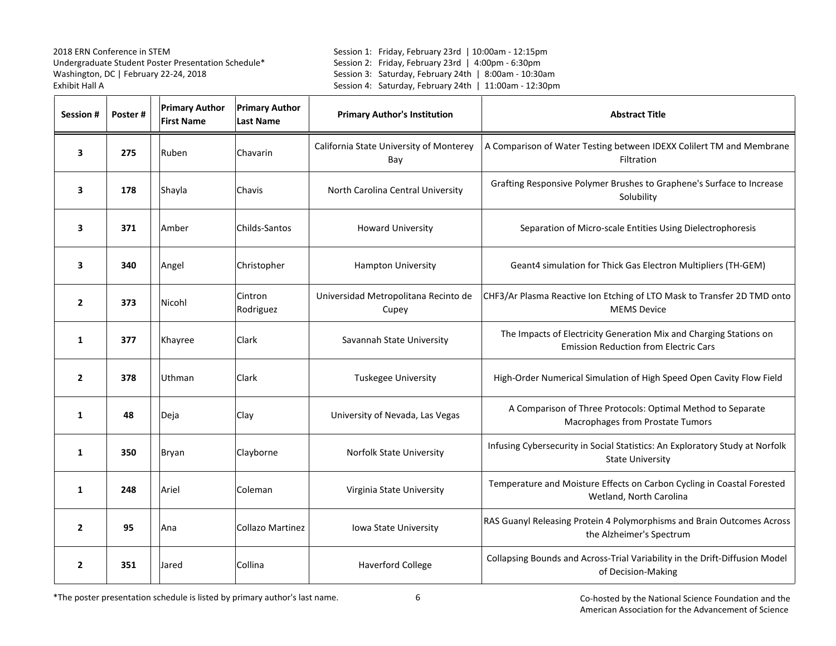Session 1: Friday, February 23rd | 10:00am - 12:15pm Session 2: Friday, February 23rd | 4:00pm - 6:30pm Session 3: Saturday, February 24th | 8:00am - 10:30am Session 4: Saturday, February 24th | 11:00am - 12:30pm

| <b>Session#</b> | Poster# | <b>Primary Author</b><br><b>First Name</b> | <b>Primary Author</b><br><b>Last Name</b> | <b>Primary Author's Institution</b>            | <b>Abstract Title</b>                                                                                              |
|-----------------|---------|--------------------------------------------|-------------------------------------------|------------------------------------------------|--------------------------------------------------------------------------------------------------------------------|
| 3               | 275     | Ruben                                      | Chavarin                                  | California State University of Monterey<br>Bay | A Comparison of Water Testing between IDEXX Colilert TM and Membrane<br>Filtration                                 |
| 3               | 178     | Shayla                                     | Chavis                                    | North Carolina Central University              | Grafting Responsive Polymer Brushes to Graphene's Surface to Increase<br>Solubility                                |
| 3               | 371     | Amber                                      | Childs-Santos                             | <b>Howard University</b>                       | Separation of Micro-scale Entities Using Dielectrophoresis                                                         |
| 3               | 340     | Angel                                      | Christopher                               | Hampton University                             | Geant4 simulation for Thick Gas Electron Multipliers (TH-GEM)                                                      |
| $\mathbf{2}$    | 373     | Nicohl                                     | Cintron<br>Rodriguez                      | Universidad Metropolitana Recinto de<br>Cupey  | CHF3/Ar Plasma Reactive Ion Etching of LTO Mask to Transfer 2D TMD onto<br><b>MEMS Device</b>                      |
| $\mathbf{1}$    | 377     | Khayree                                    | Clark                                     | Savannah State University                      | The Impacts of Electricity Generation Mix and Charging Stations on<br><b>Emission Reduction from Electric Cars</b> |
| $\overline{2}$  | 378     | Uthman                                     | Clark                                     | Tuskegee University                            | High-Order Numerical Simulation of High Speed Open Cavity Flow Field                                               |
| $\mathbf{1}$    | 48      | Deja                                       | Clay                                      | University of Nevada, Las Vegas                | A Comparison of Three Protocols: Optimal Method to Separate<br>Macrophages from Prostate Tumors                    |
| $\mathbf{1}$    | 350     | Bryan                                      | Clayborne                                 | Norfolk State University                       | Infusing Cybersecurity in Social Statistics: An Exploratory Study at Norfolk<br><b>State University</b>            |
| $\mathbf{1}$    | 248     | Ariel                                      | Coleman                                   | Virginia State University                      | Temperature and Moisture Effects on Carbon Cycling in Coastal Forested<br>Wetland, North Carolina                  |
| $\overline{2}$  | 95      | Ana                                        | <b>Collazo Martinez</b>                   | Iowa State University                          | RAS Guanyl Releasing Protein 4 Polymorphisms and Brain Outcomes Across<br>the Alzheimer's Spectrum                 |
| $\overline{2}$  | 351     | Jared                                      | Collina                                   | <b>Haverford College</b>                       | Collapsing Bounds and Across-Trial Variability in the Drift-Diffusion Model<br>of Decision-Making                  |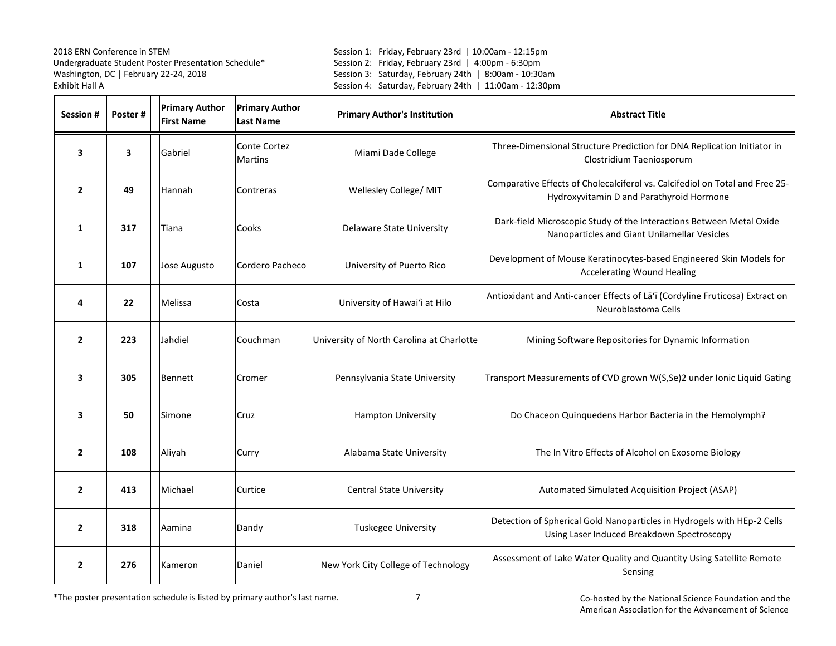Session 1: Friday, February 23rd | 10:00am - 12:15pm Session 2: Friday, February 23rd | 4:00pm - 6:30pm Session 3: Saturday, February 24th | 8:00am - 10:30am Session 4: Saturday, February 24th | 11:00am - 12:30pm

| Session #      | Poster# | <b>Primary Author</b><br><b>First Name</b> | <b>Primary Author</b><br><b>Last Name</b> | <b>Primary Author's Institution</b>       | <b>Abstract Title</b>                                                                                                    |
|----------------|---------|--------------------------------------------|-------------------------------------------|-------------------------------------------|--------------------------------------------------------------------------------------------------------------------------|
| 3              | 3       | Gabriel                                    | Conte Cortez<br><b>Martins</b>            | Miami Dade College                        | Three-Dimensional Structure Prediction for DNA Replication Initiator in<br>Clostridium Taeniosporum                      |
| $\overline{2}$ | 49      | Hannah                                     | Contreras                                 | Wellesley College/ MIT                    | Comparative Effects of Cholecalciferol vs. Calcifediol on Total and Free 25-<br>Hydroxyvitamin D and Parathyroid Hormone |
| 1              | 317     | Tiana                                      | Cooks                                     | Delaware State University                 | Dark-field Microscopic Study of the Interactions Between Metal Oxide<br>Nanoparticles and Giant Unilamellar Vesicles     |
| $\mathbf{1}$   | 107     | Jose Augusto                               | Cordero Pacheco                           | University of Puerto Rico                 | Development of Mouse Keratinocytes-based Engineered Skin Models for<br><b>Accelerating Wound Healing</b>                 |
| 4              | 22      | Melissa                                    | Costa                                     | University of Hawai'i at Hilo             | Antioxidant and Anti-cancer Effects of La'i (Cordyline Fruticosa) Extract on<br>Neuroblastoma Cells                      |
| $\overline{2}$ | 223     | Jahdiel                                    | Couchman                                  | University of North Carolina at Charlotte | Mining Software Repositories for Dynamic Information                                                                     |
| 3              | 305     | <b>Bennett</b>                             | Cromer                                    | Pennsylvania State University             | Transport Measurements of CVD grown W(S,Se)2 under Ionic Liquid Gating                                                   |
| 3              | 50      | Simone                                     | Cruz                                      | <b>Hampton University</b>                 | Do Chaceon Quinquedens Harbor Bacteria in the Hemolymph?                                                                 |
| $\overline{2}$ | 108     | Aliyah                                     | Curry                                     | Alabama State University                  | The In Vitro Effects of Alcohol on Exosome Biology                                                                       |
| $\overline{2}$ | 413     | Michael                                    | Curtice                                   | <b>Central State University</b>           | Automated Simulated Acquisition Project (ASAP)                                                                           |
| $\overline{2}$ | 318     | Aamina                                     | Dandy                                     | <b>Tuskegee University</b>                | Detection of Spherical Gold Nanoparticles in Hydrogels with HEp-2 Cells<br>Using Laser Induced Breakdown Spectroscopy    |
| $\overline{2}$ | 276     | Kameron                                    | Daniel                                    | New York City College of Technology       | Assessment of Lake Water Quality and Quantity Using Satellite Remote<br>Sensing                                          |

\*The poster presentation schedule is listed by primary author's last name.

7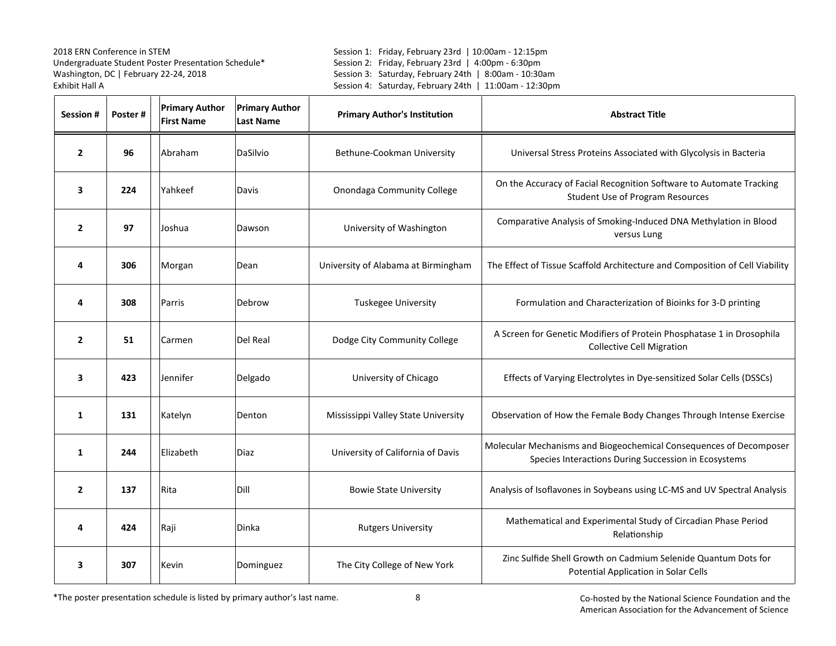Session 1: Friday, February 23rd | 10:00am - 12:15pm Session 2: Friday, February 23rd | 4:00pm - 6:30pm Session 3: Saturday, February 24th | 8:00am - 10:30am Session 4: Saturday, February 24th | 11:00am - 12:30pm

| <b>Session#</b> | Poster# | <b>Primary Author</b><br><b>First Name</b> | <b>Primary Author</b><br><b>Last Name</b> | <b>Primary Author's Institution</b> | <b>Abstract Title</b>                                                                                                      |
|-----------------|---------|--------------------------------------------|-------------------------------------------|-------------------------------------|----------------------------------------------------------------------------------------------------------------------------|
| $\overline{2}$  | 96      | Abraham                                    | DaSilvio                                  | Bethune-Cookman University          | Universal Stress Proteins Associated with Glycolysis in Bacteria                                                           |
| 3               | 224     | Yahkeef                                    | Davis                                     | <b>Onondaga Community College</b>   | On the Accuracy of Facial Recognition Software to Automate Tracking<br><b>Student Use of Program Resources</b>             |
| $\overline{2}$  | 97      | Joshua                                     | Dawson                                    | University of Washington            | Comparative Analysis of Smoking-Induced DNA Methylation in Blood<br>versus Lung                                            |
| 4               | 306     | Morgan                                     | Dean                                      | University of Alabama at Birmingham | The Effect of Tissue Scaffold Architecture and Composition of Cell Viability                                               |
| 4               | 308     | Parris                                     | Debrow                                    | Tuskegee University                 | Formulation and Characterization of Bioinks for 3-D printing                                                               |
| $\overline{2}$  | 51      | Carmen                                     | Del Real                                  | Dodge City Community College        | A Screen for Genetic Modifiers of Protein Phosphatase 1 in Drosophila<br><b>Collective Cell Migration</b>                  |
| 3               | 423     | Jennifer                                   | Delgado                                   | University of Chicago               | Effects of Varying Electrolytes in Dye-sensitized Solar Cells (DSSCs)                                                      |
| 1               | 131     | Katelyn                                    | Denton                                    | Mississippi Valley State University | Observation of How the Female Body Changes Through Intense Exercise                                                        |
| 1               | 244     | Elizabeth                                  | Diaz                                      | University of California of Davis   | Molecular Mechanisms and Biogeochemical Consequences of Decomposer<br>Species Interactions During Succession in Ecosystems |
| $\overline{2}$  | 137     | Rita                                       | Dill                                      | <b>Bowie State University</b>       | Analysis of Isoflavones in Soybeans using LC-MS and UV Spectral Analysis                                                   |
| 4               | 424     | Raji                                       | Dinka                                     | <b>Rutgers University</b>           | Mathematical and Experimental Study of Circadian Phase Period<br>Relationship                                              |
| 3               | 307     | Kevin                                      | Dominguez                                 | The City College of New York        | Zinc Sulfide Shell Growth on Cadmium Selenide Quantum Dots for<br>Potential Application in Solar Cells                     |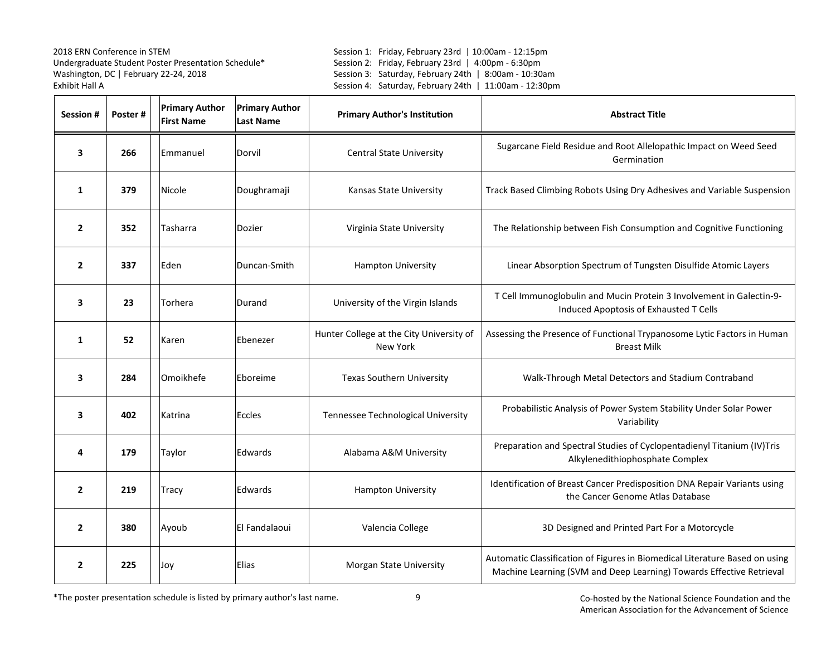Session 1: Friday, February 23rd | 10:00am - 12:15pm Session 2: Friday, February 23rd | 4:00pm - 6:30pm Session 3: Saturday, February 24th | 8:00am - 10:30am Session 4: Saturday, February 24th | 11:00am - 12:30pm

| Session #      | Poster# | <b>Primary Author</b><br><b>First Name</b> | <b>Primary Author</b><br><b>Last Name</b> | <b>Primary Author's Institution</b>                         | <b>Abstract Title</b>                                                                                                                               |
|----------------|---------|--------------------------------------------|-------------------------------------------|-------------------------------------------------------------|-----------------------------------------------------------------------------------------------------------------------------------------------------|
| 3              | 266     | Emmanuel                                   | Dorvil                                    | <b>Central State University</b>                             | Sugarcane Field Residue and Root Allelopathic Impact on Weed Seed<br>Germination                                                                    |
| $\mathbf{1}$   | 379     | Nicole                                     | Doughramaji                               | Kansas State University                                     | Track Based Climbing Robots Using Dry Adhesives and Variable Suspension                                                                             |
| $\overline{2}$ | 352     | Tasharra                                   | Dozier                                    | Virginia State University                                   | The Relationship between Fish Consumption and Cognitive Functioning                                                                                 |
| $\overline{2}$ | 337     | Eden                                       | Duncan-Smith                              | <b>Hampton University</b>                                   | Linear Absorption Spectrum of Tungsten Disulfide Atomic Layers                                                                                      |
| 3              | 23      | Torhera                                    | Durand                                    | University of the Virgin Islands                            | T Cell Immunoglobulin and Mucin Protein 3 Involvement in Galectin-9-<br>Induced Apoptosis of Exhausted T Cells                                      |
| 1              | 52      | Karen                                      | Ebenezer                                  | Hunter College at the City University of<br><b>New York</b> | Assessing the Presence of Functional Trypanosome Lytic Factors in Human<br><b>Breast Milk</b>                                                       |
| 3              | 284     | Omoikhefe                                  | Eboreime                                  | <b>Texas Southern University</b>                            | Walk-Through Metal Detectors and Stadium Contraband                                                                                                 |
| 3              | 402     | Katrina                                    | Eccles                                    | Tennessee Technological University                          | Probabilistic Analysis of Power System Stability Under Solar Power<br>Variability                                                                   |
| 4              | 179     | Taylor                                     | Edwards                                   | Alabama A&M University                                      | Preparation and Spectral Studies of Cyclopentadienyl Titanium (IV)Tris<br>Alkylenedithiophosphate Complex                                           |
| $\overline{2}$ | 219     | Tracy                                      | Edwards                                   | Hampton University                                          | Identification of Breast Cancer Predisposition DNA Repair Variants using<br>the Cancer Genome Atlas Database                                        |
| $\overline{2}$ | 380     | Ayoub                                      | El Fandalaoui                             | Valencia College                                            | 3D Designed and Printed Part For a Motorcycle                                                                                                       |
| $\overline{2}$ | 225     | Joy                                        | Elias                                     | Morgan State University                                     | Automatic Classification of Figures in Biomedical Literature Based on using<br>Machine Learning (SVM and Deep Learning) Towards Effective Retrieval |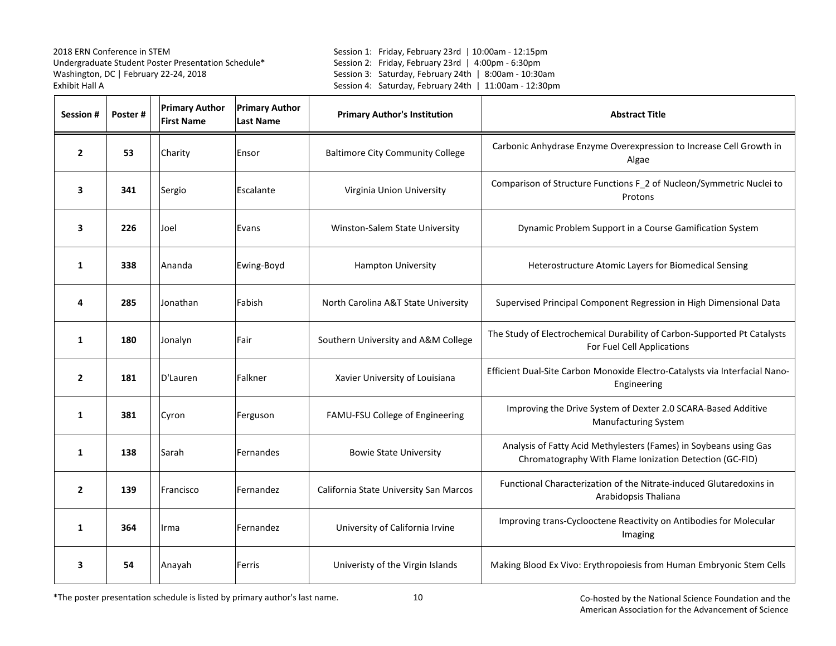Session 1: Friday, February 23rd | 10:00am - 12:15pm Session 2: Friday, February 23rd | 4:00pm - 6:30pm Session 3: Saturday, February 24th | 8:00am - 10:30am Session 4: Saturday, February 24th | 11:00am - 12:30pm

| Session #      | Poster# | <b>Primary Author</b><br><b>First Name</b> | <b>Primary Author</b><br><b>Last Name</b> | <b>Primary Author's Institution</b>     | <b>Abstract Title</b>                                                                                                        |
|----------------|---------|--------------------------------------------|-------------------------------------------|-----------------------------------------|------------------------------------------------------------------------------------------------------------------------------|
| $\overline{2}$ | 53      | Charity                                    | Ensor                                     | <b>Baltimore City Community College</b> | Carbonic Anhydrase Enzyme Overexpression to Increase Cell Growth in<br>Algae                                                 |
| 3              | 341     | Sergio                                     | Escalante                                 | Virginia Union University               | Comparison of Structure Functions F_2 of Nucleon/Symmetric Nuclei to<br>Protons                                              |
| 3              | 226     | Joel                                       | Evans                                     | Winston-Salem State University          | Dynamic Problem Support in a Course Gamification System                                                                      |
| 1              | 338     | Ananda                                     | Ewing-Boyd                                | <b>Hampton University</b>               | Heterostructure Atomic Layers for Biomedical Sensing                                                                         |
| 4              | 285     | Jonathan                                   | Fabish                                    | North Carolina A&T State University     | Supervised Principal Component Regression in High Dimensional Data                                                           |
| 1              | 180     | Jonalyn                                    | Fair                                      | Southern University and A&M College     | The Study of Electrochemical Durability of Carbon-Supported Pt Catalysts<br>For Fuel Cell Applications                       |
| $\overline{2}$ | 181     | D'Lauren                                   | Falkner                                   | Xavier University of Louisiana          | Efficient Dual-Site Carbon Monoxide Electro-Catalysts via Interfacial Nano-<br>Engineering                                   |
| 1              | 381     | Cyron                                      | Ferguson                                  | FAMU-FSU College of Engineering         | Improving the Drive System of Dexter 2.0 SCARA-Based Additive<br><b>Manufacturing System</b>                                 |
| 1              | 138     | Sarah                                      | Fernandes                                 | <b>Bowie State University</b>           | Analysis of Fatty Acid Methylesters (Fames) in Soybeans using Gas<br>Chromatography With Flame Ionization Detection (GC-FID) |
| $\overline{2}$ | 139     | Francisco                                  | Fernandez                                 | California State University San Marcos  | Functional Characterization of the Nitrate-induced Glutaredoxins in<br>Arabidopsis Thaliana                                  |
| 1              | 364     | Irma                                       | Fernandez                                 | University of California Irvine         | Improving trans-Cyclooctene Reactivity on Antibodies for Molecular<br>Imaging                                                |
| 3              | 54      | Anayah                                     | Ferris                                    | Univeristy of the Virgin Islands        | Making Blood Ex Vivo: Erythropoiesis from Human Embryonic Stem Cells                                                         |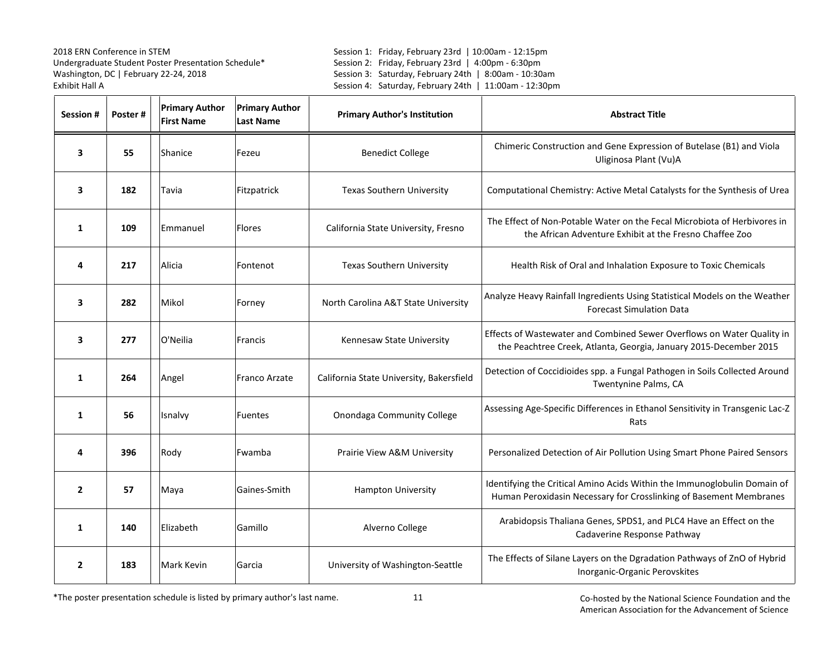Session 1: Friday, February 23rd | 10:00am - 12:15pm Session 2: Friday, February 23rd | 4:00pm - 6:30pm Session 3: Saturday, February 24th | 8:00am - 10:30am Session 4: Saturday, February 24th | 11:00am - 12:30pm

| Session #      | Poster# | <b>Primary Author</b><br><b>First Name</b> | <b>Primary Author</b><br><b>Last Name</b> | <b>Primary Author's Institution</b>      | <b>Abstract Title</b>                                                                                                                          |
|----------------|---------|--------------------------------------------|-------------------------------------------|------------------------------------------|------------------------------------------------------------------------------------------------------------------------------------------------|
| 3              | 55      | Shanice                                    | Fezeu                                     | <b>Benedict College</b>                  | Chimeric Construction and Gene Expression of Butelase (B1) and Viola<br>Uliginosa Plant (Vu)A                                                  |
| 3              | 182     | Tavia                                      | Fitzpatrick                               | <b>Texas Southern University</b>         | Computational Chemistry: Active Metal Catalysts for the Synthesis of Urea                                                                      |
| 1              | 109     | Emmanuel                                   | <b>Flores</b>                             | California State University, Fresno      | The Effect of Non-Potable Water on the Fecal Microbiota of Herbivores in<br>the African Adventure Exhibit at the Fresno Chaffee Zoo            |
| 4              | 217     | Alicia                                     | Fontenot                                  | <b>Texas Southern University</b>         | Health Risk of Oral and Inhalation Exposure to Toxic Chemicals                                                                                 |
| 3              | 282     | Mikol                                      | Forney                                    | North Carolina A&T State University      | Analyze Heavy Rainfall Ingredients Using Statistical Models on the Weather<br><b>Forecast Simulation Data</b>                                  |
| 3              | 277     | O'Neilia                                   | <b>Francis</b>                            | Kennesaw State University                | Effects of Wastewater and Combined Sewer Overflows on Water Quality in<br>the Peachtree Creek, Atlanta, Georgia, January 2015-December 2015    |
| 1              | 264     | Angel                                      | Franco Arzate                             | California State University, Bakersfield | Detection of Coccidioides spp. a Fungal Pathogen in Soils Collected Around<br>Twentynine Palms, CA                                             |
| 1              | 56      | Isnalvy                                    | <b>Fuentes</b>                            | Onondaga Community College               | Assessing Age-Specific Differences in Ethanol Sensitivity in Transgenic Lac-Z<br>Rats                                                          |
| 4              | 396     | Rody                                       | Fwamba                                    | Prairie View A&M University              | Personalized Detection of Air Pollution Using Smart Phone Paired Sensors                                                                       |
| $\overline{2}$ | 57      | Maya                                       | Gaines-Smith                              | <b>Hampton University</b>                | Identifying the Critical Amino Acids Within the Immunoglobulin Domain of<br>Human Peroxidasin Necessary for Crosslinking of Basement Membranes |
| $\mathbf{1}$   | 140     | Elizabeth                                  | Gamillo                                   | Alverno College                          | Arabidopsis Thaliana Genes, SPDS1, and PLC4 Have an Effect on the<br>Cadaverine Response Pathway                                               |
| $\overline{2}$ | 183     | <b>Mark Kevin</b>                          | Garcia                                    | University of Washington-Seattle         | The Effects of Silane Layers on the Dgradation Pathways of ZnO of Hybrid<br>Inorganic-Organic Perovskites                                      |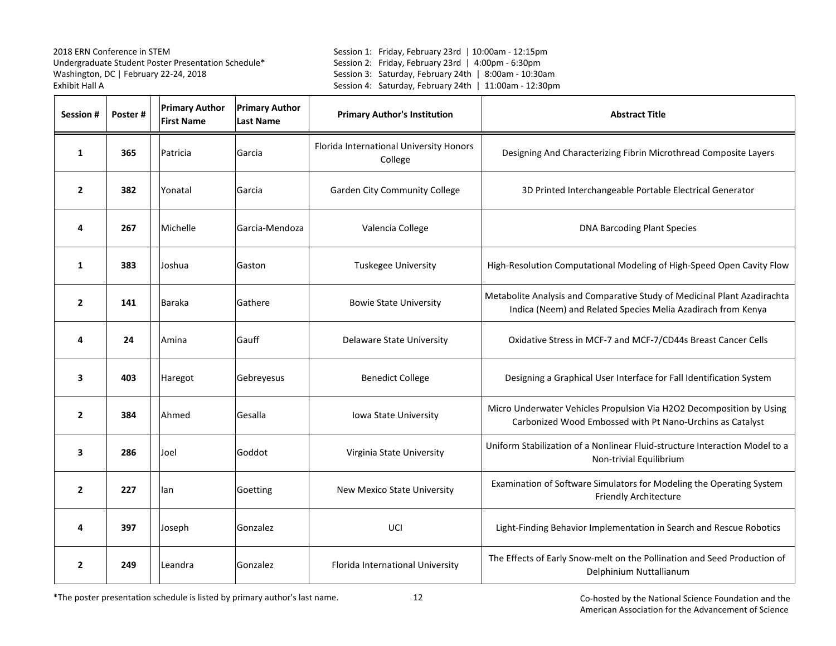Session 1: Friday, February 23rd | 10:00am - 12:15pm Session 2: Friday, February 23rd | 4:00pm - 6:30pm Session 3: Saturday, February 24th | 8:00am - 10:30am Session 4: Saturday, February 24th | 11:00am - 12:30pm

| Session #      | Poster# | <b>Primary Author</b><br><b>First Name</b> | <b>Primary Author</b><br><b>Last Name</b> | <b>Primary Author's Institution</b>                | <b>Abstract Title</b>                                                                                                                    |
|----------------|---------|--------------------------------------------|-------------------------------------------|----------------------------------------------------|------------------------------------------------------------------------------------------------------------------------------------------|
| $\mathbf{1}$   | 365     | Patricia                                   | Garcia                                    | Florida International University Honors<br>College | Designing And Characterizing Fibrin Microthread Composite Layers                                                                         |
| $\overline{2}$ | 382     | Yonatal                                    | Garcia                                    | <b>Garden City Community College</b>               | 3D Printed Interchangeable Portable Electrical Generator                                                                                 |
| 4              | 267     | Michelle                                   | Garcia-Mendoza                            | Valencia College                                   | <b>DNA Barcoding Plant Species</b>                                                                                                       |
| 1              | 383     | Joshua                                     | Gaston                                    | Tuskegee University                                | High-Resolution Computational Modeling of High-Speed Open Cavity Flow                                                                    |
| $\overline{2}$ | 141     | <b>Baraka</b>                              | Gathere                                   | <b>Bowie State University</b>                      | Metabolite Analysis and Comparative Study of Medicinal Plant Azadirachta<br>Indica (Neem) and Related Species Melia Azadirach from Kenya |
| 4              | 24      | Amina                                      | Gauff                                     | Delaware State University                          | Oxidative Stress in MCF-7 and MCF-7/CD44s Breast Cancer Cells                                                                            |
| 3              | 403     | Haregot                                    | Gebreyesus                                | <b>Benedict College</b>                            | Designing a Graphical User Interface for Fall Identification System                                                                      |
| $\overline{2}$ | 384     | Ahmed                                      | Gesalla                                   | Iowa State University                              | Micro Underwater Vehicles Propulsion Via H2O2 Decomposition by Using<br>Carbonized Wood Embossed with Pt Nano-Urchins as Catalyst        |
| 3              | 286     | Joel                                       | Goddot                                    | Virginia State University                          | Uniform Stabilization of a Nonlinear Fluid-structure Interaction Model to a<br>Non-trivial Equilibrium                                   |
| $\overline{2}$ | 227     | lan                                        | Goetting                                  | New Mexico State University                        | Examination of Software Simulators for Modeling the Operating System<br>Friendly Architecture                                            |
| 4              | 397     | Joseph                                     | Gonzalez                                  | UCI                                                | Light-Finding Behavior Implementation in Search and Rescue Robotics                                                                      |
| $\overline{2}$ | 249     | Leandra                                    | Gonzalez                                  | Florida International University                   | The Effects of Early Snow-melt on the Pollination and Seed Production of<br>Delphinium Nuttallianum                                      |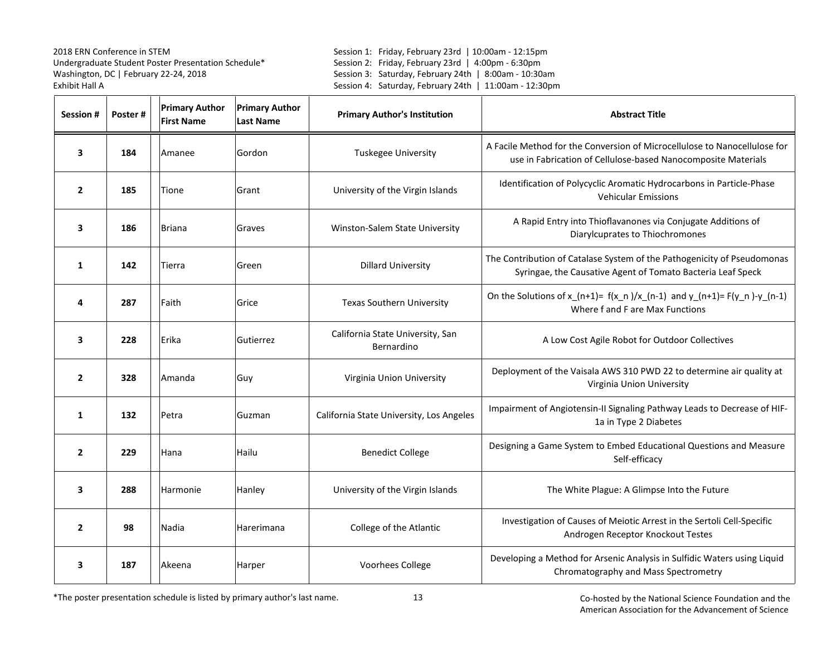Session 1: Friday, February 23rd | 10:00am - 12:15pm Session 2: Friday, February 23rd | 4:00pm - 6:30pm Session 3: Saturday, February 24th | 8:00am - 10:30am Session 4: Saturday, February 24th | 11:00am - 12:30pm

| <b>Session#</b> | Poster# | <b>Primary Author</b><br><b>First Name</b> | <b>Primary Author</b><br><b>Last Name</b> | <b>Primary Author's Institution</b>            | <b>Abstract Title</b>                                                                                                                      |
|-----------------|---------|--------------------------------------------|-------------------------------------------|------------------------------------------------|--------------------------------------------------------------------------------------------------------------------------------------------|
| 3               | 184     | Amanee                                     | Gordon                                    | <b>Tuskegee University</b>                     | A Facile Method for the Conversion of Microcellulose to Nanocellulose for<br>use in Fabrication of Cellulose-based Nanocomposite Materials |
| $\mathbf{2}$    | 185     | Tione                                      | Grant                                     | University of the Virgin Islands               | Identification of Polycyclic Aromatic Hydrocarbons in Particle-Phase<br><b>Vehicular Emissions</b>                                         |
| 3               | 186     | <b>Briana</b>                              | Graves                                    | Winston-Salem State University                 | A Rapid Entry into Thioflavanones via Conjugate Additions of<br>Diarylcuprates to Thiochromones                                            |
| 1               | 142     | Tierra                                     | Green                                     | <b>Dillard University</b>                      | The Contribution of Catalase System of the Pathogenicity of Pseudomonas<br>Syringae, the Causative Agent of Tomato Bacteria Leaf Speck     |
| 4               | 287     | Faith                                      | Grice                                     | <b>Texas Southern University</b>               | On the Solutions of x_(n+1)= $f(x_n)/x_n$ (n-1) and y_(n+1)= $F(y_n) - y_n$ (n-1)<br>Where f and F are Max Functions                       |
| 3               | 228     | Erika                                      | Gutierrez                                 | California State University, San<br>Bernardino | A Low Cost Agile Robot for Outdoor Collectives                                                                                             |
| $\overline{2}$  | 328     | Amanda                                     | Guy                                       | Virginia Union University                      | Deployment of the Vaisala AWS 310 PWD 22 to determine air quality at<br>Virginia Union University                                          |
| $\mathbf{1}$    | 132     | Petra                                      | Guzman                                    | California State University, Los Angeles       | Impairment of Angiotensin-II Signaling Pathway Leads to Decrease of HIF-<br>1a in Type 2 Diabetes                                          |
| $\overline{2}$  | 229     | Hana                                       | Hailu                                     | <b>Benedict College</b>                        | Designing a Game System to Embed Educational Questions and Measure<br>Self-efficacy                                                        |
| 3               | 288     | Harmonie                                   | Hanley                                    | University of the Virgin Islands               | The White Plague: A Glimpse Into the Future                                                                                                |
| $\overline{2}$  | 98      | Nadia                                      | Harerimana                                | College of the Atlantic                        | Investigation of Causes of Meiotic Arrest in the Sertoli Cell-Specific<br>Androgen Receptor Knockout Testes                                |
| 3               | 187     | Akeena                                     | Harper                                    | Voorhees College                               | Developing a Method for Arsenic Analysis in Sulfidic Waters using Liquid<br>Chromatography and Mass Spectrometry                           |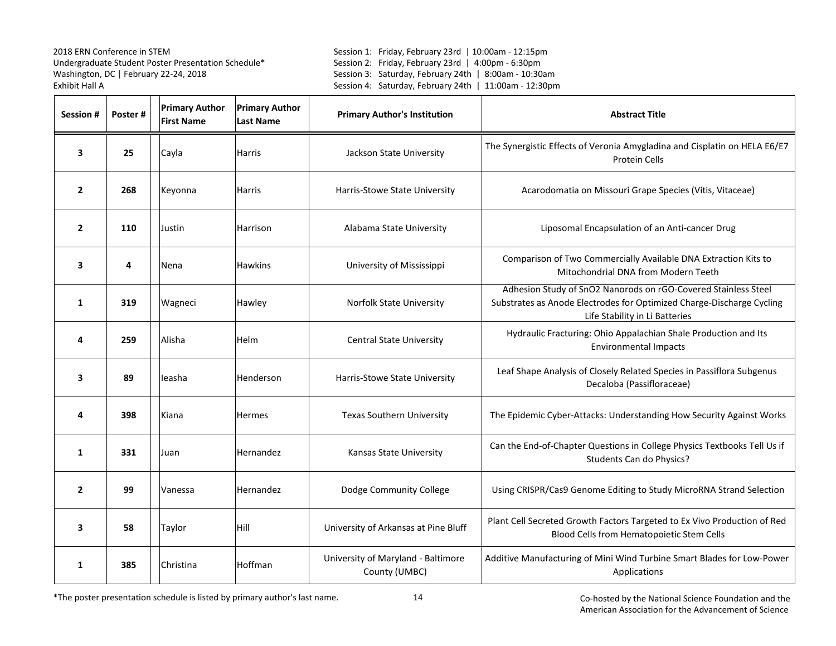Session 1: Friday, February 23rd | 10:00am - 12:15pm Session 2: Friday, February 23rd | 4:00pm - 6:30pm Session 3: Saturday, February 24th | 8:00am - 10:30am Session 4: Saturday, February 24th | 11:00am - 12:30pm

| <b>Session#</b> | Poster# | <b>Primary Author</b><br><b>First Name</b> | <b>Primary Author</b><br><b>Last Name</b> | <b>Primary Author's Institution</b>                 | <b>Abstract Title</b>                                                                                                                                                     |
|-----------------|---------|--------------------------------------------|-------------------------------------------|-----------------------------------------------------|---------------------------------------------------------------------------------------------------------------------------------------------------------------------------|
| 3               | 25      | Cayla                                      | Harris                                    | Jackson State University                            | The Synergistic Effects of Veronia Amygladina and Cisplatin on HELA E6/E7<br>Protein Cells                                                                                |
| $\overline{2}$  | 268     | Keyonna                                    | <b>Harris</b>                             | Harris-Stowe State University                       | Acarodomatia on Missouri Grape Species (Vitis, Vitaceae)                                                                                                                  |
| $\overline{2}$  | 110     | Justin                                     | Harrison                                  | Alabama State University                            | Liposomal Encapsulation of an Anti-cancer Drug                                                                                                                            |
| 3               | 4       | Nena                                       | <b>Hawkins</b>                            | University of Mississippi                           | Comparison of Two Commercially Available DNA Extraction Kits to<br>Mitochondrial DNA from Modern Teeth                                                                    |
| $\mathbf{1}$    | 319     | Wagneci                                    | Hawley                                    | Norfolk State University                            | Adhesion Study of SnO2 Nanorods on rGO-Covered Stainless Steel<br>Substrates as Anode Electrodes for Optimized Charge-Discharge Cycling<br>Life Stability in Li Batteries |
| 4               | 259     | Alisha                                     | Helm                                      | <b>Central State University</b>                     | Hydraulic Fracturing: Ohio Appalachian Shale Production and Its<br><b>Environmental Impacts</b>                                                                           |
| 3               | 89      | leasha                                     | Henderson                                 | Harris-Stowe State University                       | Leaf Shape Analysis of Closely Related Species in Passiflora Subgenus<br>Decaloba (Passifloraceae)                                                                        |
| 4               | 398     | Kiana                                      | <b>Hermes</b>                             | <b>Texas Southern University</b>                    | The Epidemic Cyber-Attacks: Understanding How Security Against Works                                                                                                      |
| 1               | 331     | Juan                                       | Hernandez                                 | Kansas State University                             | Can the End-of-Chapter Questions in College Physics Textbooks Tell Us if<br>Students Can do Physics?                                                                      |
| $\overline{2}$  | 99      | Vanessa                                    | Hernandez                                 | Dodge Community College                             | Using CRISPR/Cas9 Genome Editing to Study MicroRNA Strand Selection                                                                                                       |
| 3               | 58      | Taylor                                     | Hill                                      | University of Arkansas at Pine Bluff                | Plant Cell Secreted Growth Factors Targeted to Ex Vivo Production of Red<br>Blood Cells from Hematopoietic Stem Cells                                                     |
| 1               | 385     | Christina                                  | Hoffman                                   | University of Maryland - Baltimore<br>County (UMBC) | Additive Manufacturing of Mini Wind Turbine Smart Blades for Low-Power<br>Applications                                                                                    |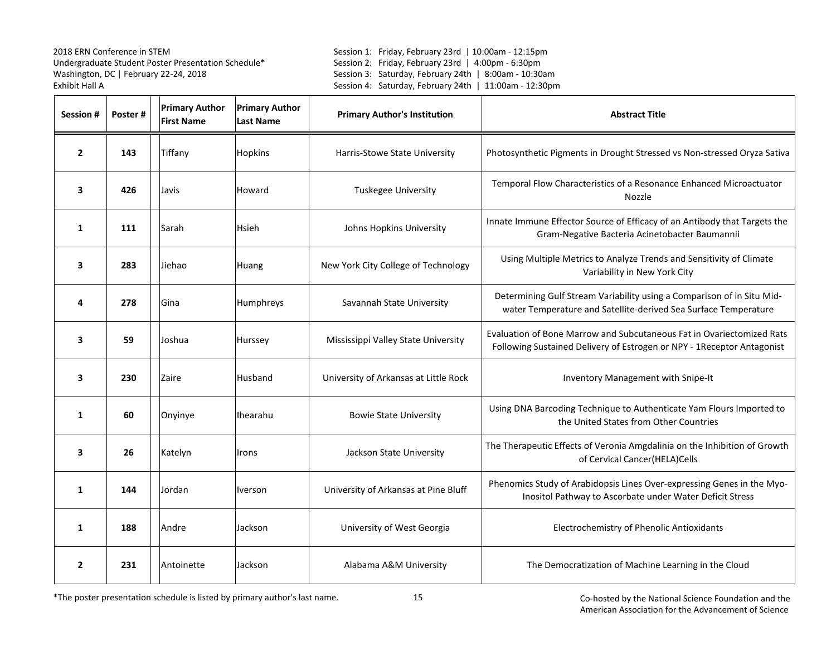Session 1: Friday, February 23rd | 10:00am - 12:15pm Session 2: Friday, February 23rd | 4:00pm - 6:30pm Session 3: Saturday, February 24th | 8:00am - 10:30am Session 4: Saturday, February 24th | 11:00am - 12:30pm

| Session #      | Poster# | <b>Primary Author</b><br><b>First Name</b> | <b>Primary Author</b><br><b>Last Name</b> | <b>Primary Author's Institution</b>   | <b>Abstract Title</b>                                                                                                                            |
|----------------|---------|--------------------------------------------|-------------------------------------------|---------------------------------------|--------------------------------------------------------------------------------------------------------------------------------------------------|
| $\overline{2}$ | 143     | Tiffany                                    | Hopkins                                   | Harris-Stowe State University         | Photosynthetic Pigments in Drought Stressed vs Non-stressed Oryza Sativa                                                                         |
| 3              | 426     | Javis                                      | Howard                                    | Tuskegee University                   | Temporal Flow Characteristics of a Resonance Enhanced Microactuator<br>Nozzle                                                                    |
| $\mathbf{1}$   | 111     | Sarah                                      | Hsieh                                     | Johns Hopkins University              | Innate Immune Effector Source of Efficacy of an Antibody that Targets the<br>Gram-Negative Bacteria Acinetobacter Baumannii                      |
| 3              | 283     | Jiehao                                     | Huang                                     | New York City College of Technology   | Using Multiple Metrics to Analyze Trends and Sensitivity of Climate<br>Variability in New York City                                              |
| 4              | 278     | Gina                                       | Humphreys                                 | Savannah State University             | Determining Gulf Stream Variability using a Comparison of in Situ Mid-<br>water Temperature and Satellite-derived Sea Surface Temperature        |
| 3              | 59      | Joshua                                     | Hurssey                                   | Mississippi Valley State University   | Evaluation of Bone Marrow and Subcutaneous Fat in Ovariectomized Rats<br>Following Sustained Delivery of Estrogen or NPY - 1 Receptor Antagonist |
| 3              | 230     | Zaire                                      | Husband                                   | University of Arkansas at Little Rock | Inventory Management with Snipe-It                                                                                                               |
| $\mathbf{1}$   | 60      | Onyinye                                    | <b>Ihearahu</b>                           | <b>Bowie State University</b>         | Using DNA Barcoding Technique to Authenticate Yam Flours Imported to<br>the United States from Other Countries                                   |
| 3              | 26      | Katelyn                                    | <b>Irons</b>                              | Jackson State University              | The Therapeutic Effects of Veronia Amgdalinia on the Inhibition of Growth<br>of Cervical Cancer(HELA)Cells                                       |
| $\mathbf{1}$   | 144     | Jordan                                     | <b>Iverson</b>                            | University of Arkansas at Pine Bluff  | Phenomics Study of Arabidopsis Lines Over-expressing Genes in the Myo-<br>Inositol Pathway to Ascorbate under Water Deficit Stress               |
| 1              | 188     | Andre                                      | Jackson                                   | University of West Georgia            | Electrochemistry of Phenolic Antioxidants                                                                                                        |
| $\overline{2}$ | 231     | Antoinette                                 | Jackson                                   | Alabama A&M University                | The Democratization of Machine Learning in the Cloud                                                                                             |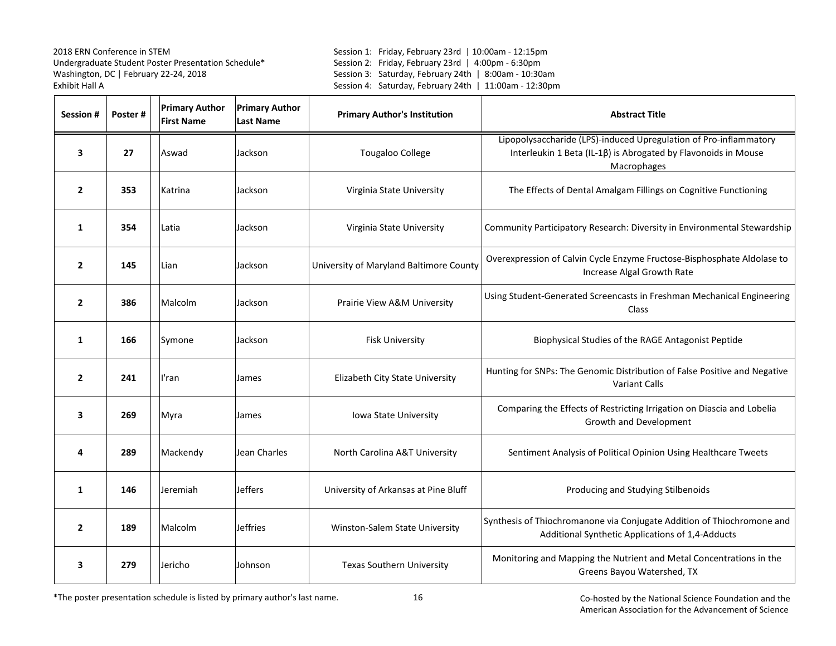Session 1: Friday, February 23rd | 10:00am - 12:15pm Session 2: Friday, February 23rd | 4:00pm - 6:30pm Session 3: Saturday, February 24th | 8:00am - 10:30am Session 4: Saturday, February 24th | 11:00am - 12:30pm

| <b>Session#</b>         | Poster# | <b>Primary Author</b><br><b>First Name</b> | <b>Primary Author</b><br><b>Last Name</b> | <b>Primary Author's Institution</b>     | <b>Abstract Title</b>                                                                                                                              |
|-------------------------|---------|--------------------------------------------|-------------------------------------------|-----------------------------------------|----------------------------------------------------------------------------------------------------------------------------------------------------|
| 3                       | 27      | Aswad                                      | Jackson                                   | <b>Tougaloo College</b>                 | Lipopolysaccharide (LPS)-induced Upregulation of Pro-inflammatory<br>Interleukin 1 Beta (IL-1ß) is Abrogated by Flavonoids in Mouse<br>Macrophages |
| $\overline{2}$          | 353     | Katrina                                    | Jackson                                   | Virginia State University               | The Effects of Dental Amalgam Fillings on Cognitive Functioning                                                                                    |
| 1                       | 354     | Latia                                      | Jackson                                   | Virginia State University               | Community Participatory Research: Diversity in Environmental Stewardship                                                                           |
| $\overline{2}$          | 145     | Lian                                       | Jackson                                   | University of Maryland Baltimore County | Overexpression of Calvin Cycle Enzyme Fructose-Bisphosphate Aldolase to<br>Increase Algal Growth Rate                                              |
| $\overline{2}$          | 386     | Malcolm                                    | Jackson                                   | Prairie View A&M University             | Using Student-Generated Screencasts in Freshman Mechanical Engineering<br>Class                                                                    |
| 1                       | 166     | Symone                                     | Jackson                                   | <b>Fisk University</b>                  | Biophysical Studies of the RAGE Antagonist Peptide                                                                                                 |
| $\overline{2}$          | 241     | l'ran                                      | James                                     | Elizabeth City State University         | Hunting for SNPs: The Genomic Distribution of False Positive and Negative<br><b>Variant Calls</b>                                                  |
| $\overline{\mathbf{3}}$ | 269     | Myra                                       | James                                     | Iowa State University                   | Comparing the Effects of Restricting Irrigation on Diascia and Lobelia<br>Growth and Development                                                   |
| 4                       | 289     | Mackendy                                   | Jean Charles                              | North Carolina A&T University           | Sentiment Analysis of Political Opinion Using Healthcare Tweets                                                                                    |
| 1                       | 146     | Jeremiah                                   | <b>Jeffers</b>                            | University of Arkansas at Pine Bluff    | Producing and Studying Stilbenoids                                                                                                                 |
| $\overline{2}$          | 189     | Malcolm                                    | <b>Jeffries</b>                           | Winston-Salem State University          | Synthesis of Thiochromanone via Conjugate Addition of Thiochromone and<br>Additional Synthetic Applications of 1,4-Adducts                         |
| 3                       | 279     | Jericho                                    | Johnson                                   | <b>Texas Southern University</b>        | Monitoring and Mapping the Nutrient and Metal Concentrations in the<br>Greens Bayou Watershed, TX                                                  |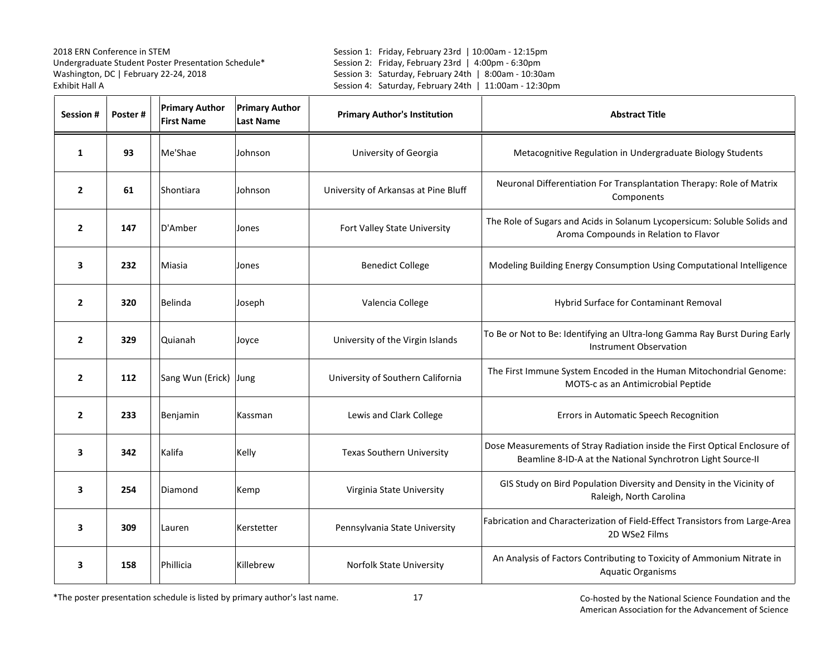Session 1: Friday, February 23rd | 10:00am - 12:15pm Session 2: Friday, February 23rd | 4:00pm - 6:30pm Session 3: Saturday, February 24th | 8:00am - 10:30am Session 4: Saturday, February 24th | 11:00am - 12:30pm

| Session #      | Poster# | <b>Primary Author</b><br><b>First Name</b> | <b>Primary Author</b><br><b>Last Name</b> | <b>Primary Author's Institution</b>  | <b>Abstract Title</b>                                                                                                                     |
|----------------|---------|--------------------------------------------|-------------------------------------------|--------------------------------------|-------------------------------------------------------------------------------------------------------------------------------------------|
| 1              | 93      | Me'Shae                                    | Johnson                                   | University of Georgia                | Metacognitive Regulation in Undergraduate Biology Students                                                                                |
| $\overline{2}$ | 61      | Shontiara                                  | Johnson                                   | University of Arkansas at Pine Bluff | Neuronal Differentiation For Transplantation Therapy: Role of Matrix<br>Components                                                        |
| $\overline{2}$ | 147     | D'Amber                                    | Jones                                     | Fort Valley State University         | The Role of Sugars and Acids in Solanum Lycopersicum: Soluble Solids and<br>Aroma Compounds in Relation to Flavor                         |
| 3              | 232     | Miasia                                     | Jones                                     | <b>Benedict College</b>              | Modeling Building Energy Consumption Using Computational Intelligence                                                                     |
| $\mathbf{2}$   | 320     | Belinda                                    | Joseph                                    | Valencia College                     | Hybrid Surface for Contaminant Removal                                                                                                    |
| $\overline{2}$ | 329     | Quianah                                    | Joyce                                     | University of the Virgin Islands     | To Be or Not to Be: Identifying an Ultra-long Gamma Ray Burst During Early<br><b>Instrument Observation</b>                               |
| $\overline{2}$ | 112     | Sang Wun (Erick) Jung                      |                                           | University of Southern California    | The First Immune System Encoded in the Human Mitochondrial Genome:<br>MOTS-c as an Antimicrobial Peptide                                  |
| $\overline{2}$ | 233     | Benjamin                                   | Kassman                                   | Lewis and Clark College              | Errors in Automatic Speech Recognition                                                                                                    |
| 3              | 342     | Kalifa                                     | Kelly                                     | <b>Texas Southern University</b>     | Dose Measurements of Stray Radiation inside the First Optical Enclosure of<br>Beamline 8-ID-A at the National Synchrotron Light Source-II |
| 3              | 254     | Diamond                                    | Kemp                                      | Virginia State University            | GIS Study on Bird Population Diversity and Density in the Vicinity of<br>Raleigh, North Carolina                                          |
| 3              | 309     | Lauren                                     | Kerstetter                                | Pennsylvania State University        | Fabrication and Characterization of Field-Effect Transistors from Large-Area<br>2D WSe2 Films                                             |
| 3              | 158     | Phillicia                                  | Killebrew                                 | <b>Norfolk State University</b>      | An Analysis of Factors Contributing to Toxicity of Ammonium Nitrate in<br><b>Aquatic Organisms</b>                                        |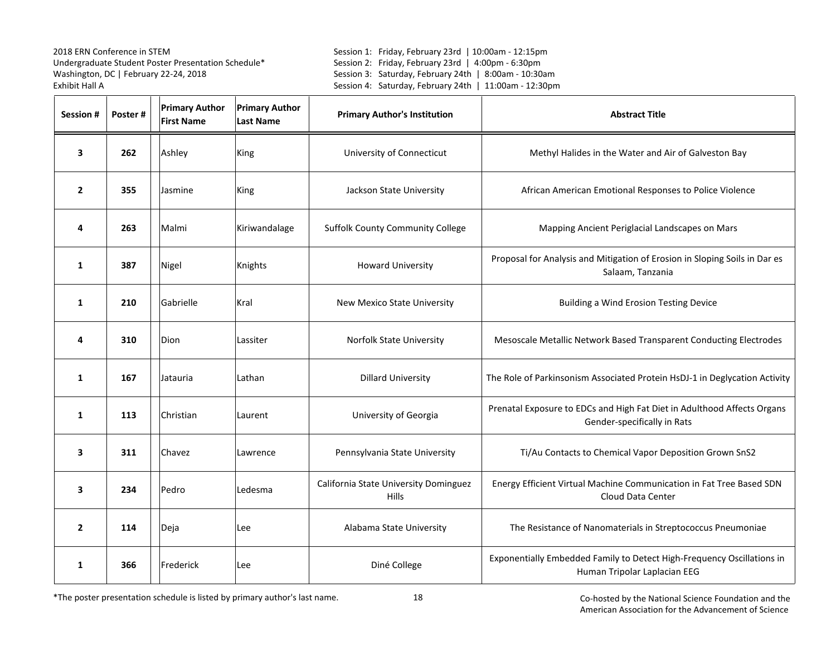Session 1: Friday, February 23rd | 10:00am - 12:15pm Session 2: Friday, February 23rd | 4:00pm - 6:30pm Session 3: Saturday, February 24th | 8:00am - 10:30am Session 4: Saturday, February 24th | 11:00am - 12:30pm

| Session #      | Poster# | <b>Primary Author</b><br><b>First Name</b> | <b>Primary Author</b><br><b>Last Name</b> | <b>Primary Author's Institution</b>                   | <b>Abstract Title</b>                                                                                  |
|----------------|---------|--------------------------------------------|-------------------------------------------|-------------------------------------------------------|--------------------------------------------------------------------------------------------------------|
| 3              | 262     | Ashley                                     | King                                      | University of Connecticut                             | Methyl Halides in the Water and Air of Galveston Bay                                                   |
| $\overline{2}$ | 355     | Jasmine                                    | King                                      | Jackson State University                              | African American Emotional Responses to Police Violence                                                |
| 4              | 263     | Malmi                                      | Kiriwandalage                             | <b>Suffolk County Community College</b>               | Mapping Ancient Periglacial Landscapes on Mars                                                         |
| $\mathbf{1}$   | 387     | Nigel                                      | Knights                                   | <b>Howard University</b>                              | Proposal for Analysis and Mitigation of Erosion in Sloping Soils in Dar es<br>Salaam, Tanzania         |
| 1              | 210     | Gabrielle                                  | Kral                                      | New Mexico State University                           | <b>Building a Wind Erosion Testing Device</b>                                                          |
| 4              | 310     | Dion                                       | Lassiter                                  | Norfolk State University                              | Mesoscale Metallic Network Based Transparent Conducting Electrodes                                     |
| $\mathbf{1}$   | 167     | Jatauria                                   | Lathan                                    | <b>Dillard University</b>                             | The Role of Parkinsonism Associated Protein HsDJ-1 in Deglycation Activity                             |
| $\mathbf{1}$   | 113     | Christian                                  | Laurent                                   | University of Georgia                                 | Prenatal Exposure to EDCs and High Fat Diet in Adulthood Affects Organs<br>Gender-specifically in Rats |
| 3              | 311     | Chavez                                     | Lawrence                                  | Pennsylvania State University                         | Ti/Au Contacts to Chemical Vapor Deposition Grown SnS2                                                 |
| 3              | 234     | Pedro                                      | Ledesma                                   | California State University Dominguez<br><b>Hills</b> | Energy Efficient Virtual Machine Communication in Fat Tree Based SDN<br>Cloud Data Center              |
| $\overline{2}$ | 114     | Deja                                       | Lee                                       | Alabama State University                              | The Resistance of Nanomaterials in Streptococcus Pneumoniae                                            |
| 1              | 366     | Frederick                                  | Lee                                       | Diné College                                          | Exponentially Embedded Family to Detect High-Frequency Oscillations in<br>Human Tripolar Laplacian EEG |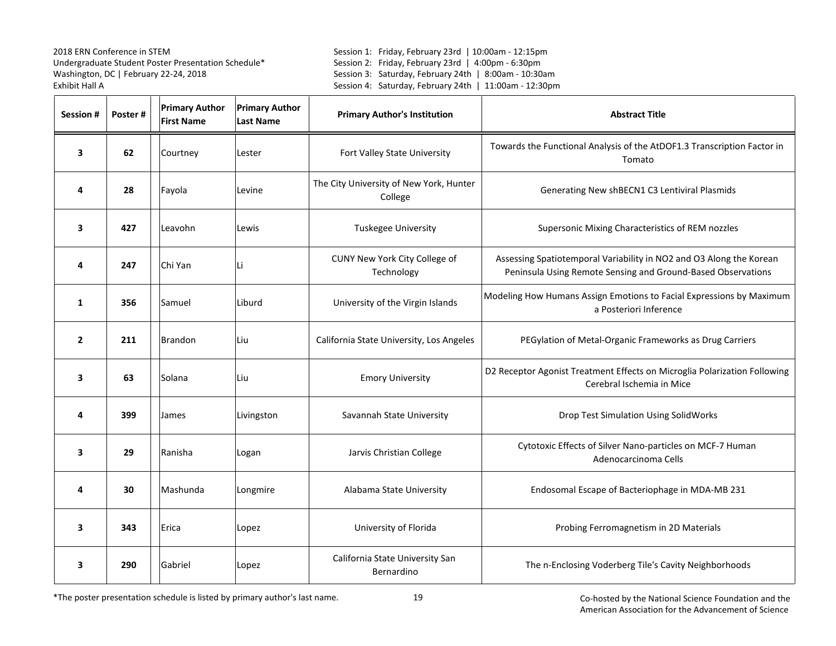Session 1: Friday, February 23rd | 10:00am - 12:15pm Session 2: Friday, February 23rd | 4:00pm - 6:30pm Session 3: Saturday, February 24th | 8:00am - 10:30am Session 4: Saturday, February 24th | 11:00am - 12:30pm

| Session #      | Poster# | <b>Primary Author</b><br><b>First Name</b> | <b>Primary Author</b><br><b>Last Name</b> | <b>Primary Author's Institution</b>                | <b>Abstract Title</b>                                                                                                               |
|----------------|---------|--------------------------------------------|-------------------------------------------|----------------------------------------------------|-------------------------------------------------------------------------------------------------------------------------------------|
| 3              | 62      | Courtney                                   | Lester                                    | Fort Valley State University                       | Towards the Functional Analysis of the AtDOF1.3 Transcription Factor in<br>Tomato                                                   |
| 4              | 28      | Fayola                                     | Levine                                    | The City University of New York, Hunter<br>College | Generating New shBECN1 C3 Lentiviral Plasmids                                                                                       |
| 3              | 427     | Leavohn                                    | Lewis                                     | Tuskegee University                                | Supersonic Mixing Characteristics of REM nozzles                                                                                    |
| 4              | 247     | Chi Yan                                    | Li                                        | CUNY New York City College of<br>Technology        | Assessing Spatiotemporal Variability in NO2 and O3 Along the Korean<br>Peninsula Using Remote Sensing and Ground-Based Observations |
| 1              | 356     | Samuel                                     | Liburd                                    | University of the Virgin Islands                   | Modeling How Humans Assign Emotions to Facial Expressions by Maximum<br>a Posteriori Inference                                      |
| $\overline{2}$ | 211     | <b>Brandon</b>                             | Liu                                       | California State University, Los Angeles           | PEGylation of Metal-Organic Frameworks as Drug Carriers                                                                             |
| 3              | 63      | Solana                                     | Liu                                       | <b>Emory University</b>                            | D2 Receptor Agonist Treatment Effects on Microglia Polarization Following<br>Cerebral Ischemia in Mice                              |
| 4              | 399     | James                                      | Livingston                                | Savannah State University                          | <b>Drop Test Simulation Using SolidWorks</b>                                                                                        |
| 3              | 29      | Ranisha                                    | Logan                                     | Jarvis Christian College                           | Cytotoxic Effects of Silver Nano-particles on MCF-7 Human<br>Adenocarcinoma Cells                                                   |
| 4              | 30      | Mashunda                                   | Longmire                                  | Alabama State University                           | Endosomal Escape of Bacteriophage in MDA-MB 231                                                                                     |
| 3              | 343     | Erica                                      | Lopez                                     | University of Florida                              | Probing Ferromagnetism in 2D Materials                                                                                              |
| 3              | 290     | Gabriel                                    | Lopez                                     | California State University San<br>Bernardino      | The n-Enclosing Voderberg Tile's Cavity Neighborhoods                                                                               |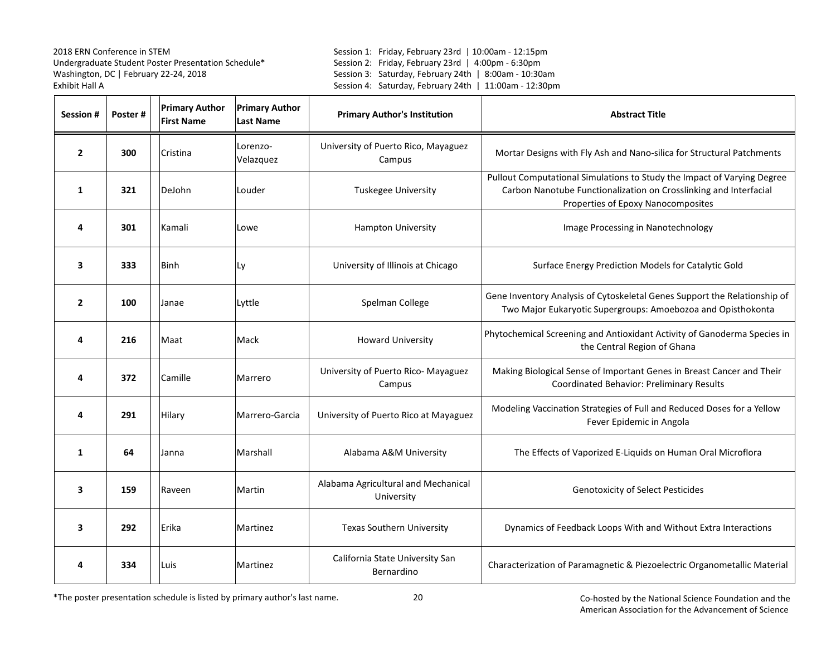Session 1: Friday, February 23rd | 10:00am - 12:15pm Session 2: Friday, February 23rd | 4:00pm - 6:30pm Session 3: Saturday, February 24th | 8:00am - 10:30am Session 4: Saturday, February 24th | 11:00am - 12:30pm

| Session #      | Poster# | <b>Primary Author</b><br><b>First Name</b> | <b>Primary Author</b><br><b>Last Name</b> | <b>Primary Author's Institution</b>               | <b>Abstract Title</b>                                                                                                                                                              |
|----------------|---------|--------------------------------------------|-------------------------------------------|---------------------------------------------------|------------------------------------------------------------------------------------------------------------------------------------------------------------------------------------|
| $\overline{2}$ | 300     | Cristina                                   | Lorenzo-<br>Velazquez                     | University of Puerto Rico, Mayaguez<br>Campus     | Mortar Designs with Fly Ash and Nano-silica for Structural Patchments                                                                                                              |
| 1              | 321     | DeJohn                                     | Louder                                    | <b>Tuskegee University</b>                        | Pullout Computational Simulations to Study the Impact of Varying Degree<br>Carbon Nanotube Functionalization on Crosslinking and Interfacial<br>Properties of Epoxy Nanocomposites |
| 4              | 301     | Kamali                                     | Lowe                                      | <b>Hampton University</b>                         | Image Processing in Nanotechnology                                                                                                                                                 |
| 3              | 333     | Binh                                       | Ly                                        | University of Illinois at Chicago                 | Surface Energy Prediction Models for Catalytic Gold                                                                                                                                |
| $\overline{2}$ | 100     | Janae                                      | Lyttle                                    | Spelman College                                   | Gene Inventory Analysis of Cytoskeletal Genes Support the Relationship of<br>Two Major Eukaryotic Supergroups: Amoebozoa and Opisthokonta                                          |
| 4              | 216     | Maat                                       | Mack                                      | <b>Howard University</b>                          | Phytochemical Screening and Antioxidant Activity of Ganoderma Species in<br>the Central Region of Ghana                                                                            |
| 4              | 372     | Camille                                    | Marrero                                   | University of Puerto Rico- Mayaguez<br>Campus     | Making Biological Sense of Important Genes in Breast Cancer and Their<br>Coordinated Behavior: Preliminary Results                                                                 |
| 4              | 291     | Hilary                                     | Marrero-Garcia                            | University of Puerto Rico at Mayaguez             | Modeling Vaccination Strategies of Full and Reduced Doses for a Yellow<br>Fever Epidemic in Angola                                                                                 |
| 1              | 64      | Janna                                      | Marshall                                  | Alabama A&M University                            | The Effects of Vaporized E-Liquids on Human Oral Microflora                                                                                                                        |
| 3              | 159     | Raveen                                     | Martin                                    | Alabama Agricultural and Mechanical<br>University | <b>Genotoxicity of Select Pesticides</b>                                                                                                                                           |
| 3              | 292     | Erika                                      | Martinez                                  | <b>Texas Southern University</b>                  | Dynamics of Feedback Loops With and Without Extra Interactions                                                                                                                     |
| 4              | 334     | Luis                                       | Martinez                                  | California State University San<br>Bernardino     | Characterization of Paramagnetic & Piezoelectric Organometallic Material                                                                                                           |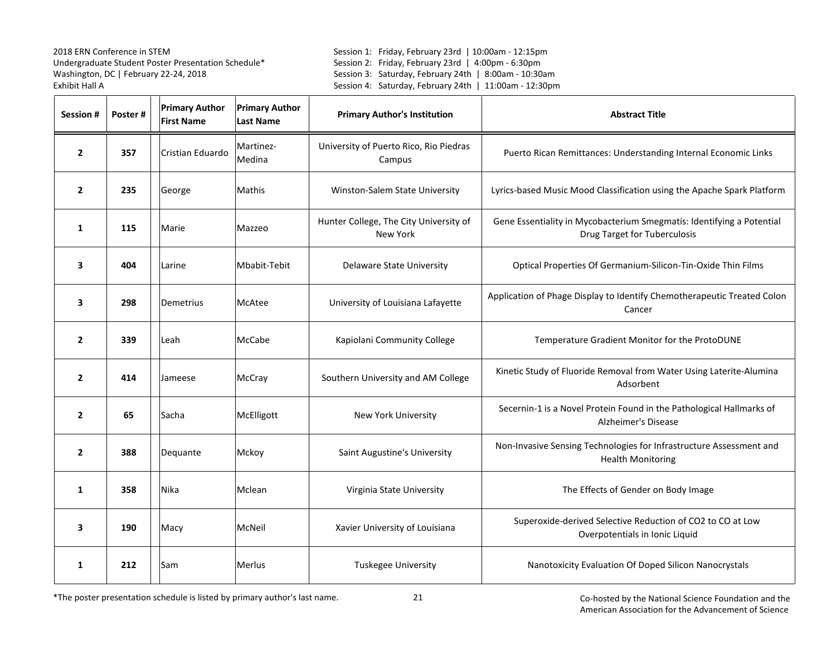Session 1: Friday, February 23rd | 10:00am - 12:15pm Session 2: Friday, February 23rd | 4:00pm - 6:30pm Session 3: Saturday, February 24th | 8:00am - 10:30am Session 4: Saturday, February 24th | 11:00am - 12:30pm

| <b>Session #</b> | Poster# | <b>Primary Author</b><br><b>First Name</b> | <b>Primary Author</b><br><b>Last Name</b> | <b>Primary Author's Institution</b>                | <b>Abstract Title</b>                                                                                        |
|------------------|---------|--------------------------------------------|-------------------------------------------|----------------------------------------------------|--------------------------------------------------------------------------------------------------------------|
| $\overline{2}$   | 357     | Cristian Eduardo                           | Martinez-<br>Medina                       | University of Puerto Rico, Rio Piedras<br>Campus   | Puerto Rican Remittances: Understanding Internal Economic Links                                              |
| $\overline{2}$   | 235     | George                                     | Mathis                                    | Winston-Salem State University                     | Lyrics-based Music Mood Classification using the Apache Spark Platform                                       |
| $\mathbf{1}$     | 115     | Marie                                      | Mazzeo                                    | Hunter College, The City University of<br>New York | Gene Essentiality in Mycobacterium Smegmatis: Identifying a Potential<br><b>Drug Target for Tuberculosis</b> |
| 3                | 404     | Larine                                     | Mbabit-Tebit                              | Delaware State University                          | Optical Properties Of Germanium-Silicon-Tin-Oxide Thin Films                                                 |
| 3                | 298     | Demetrius                                  | McAtee                                    | University of Louisiana Lafayette                  | Application of Phage Display to Identify Chemotherapeutic Treated Colon<br>Cancer                            |
| $\overline{2}$   | 339     | Leah                                       | McCabe                                    | Kapiolani Community College                        | Temperature Gradient Monitor for the ProtoDUNE                                                               |
| $\overline{2}$   | 414     | Jameese                                    | McCray                                    | Southern University and AM College                 | Kinetic Study of Fluoride Removal from Water Using Laterite-Alumina<br>Adsorbent                             |
| $\overline{2}$   | 65      | Sacha                                      | McElligott                                | New York University                                | Secernin-1 is a Novel Protein Found in the Pathological Hallmarks of<br>Alzheimer's Disease                  |
| $\overline{2}$   | 388     | Dequante                                   | Mckoy                                     | Saint Augustine's University                       | Non-Invasive Sensing Technologies for Infrastructure Assessment and<br><b>Health Monitoring</b>              |
| 1                | 358     | Nika                                       | Mclean                                    | Virginia State University                          | The Effects of Gender on Body Image                                                                          |
| 3                | 190     | Macy                                       | McNeil                                    | Xavier University of Louisiana                     | Superoxide-derived Selective Reduction of CO2 to CO at Low<br>Overpotentials in Ionic Liquid                 |
| 1                | 212     | Sam                                        | Merlus                                    | Tuskegee University                                | Nanotoxicity Evaluation Of Doped Silicon Nanocrystals                                                        |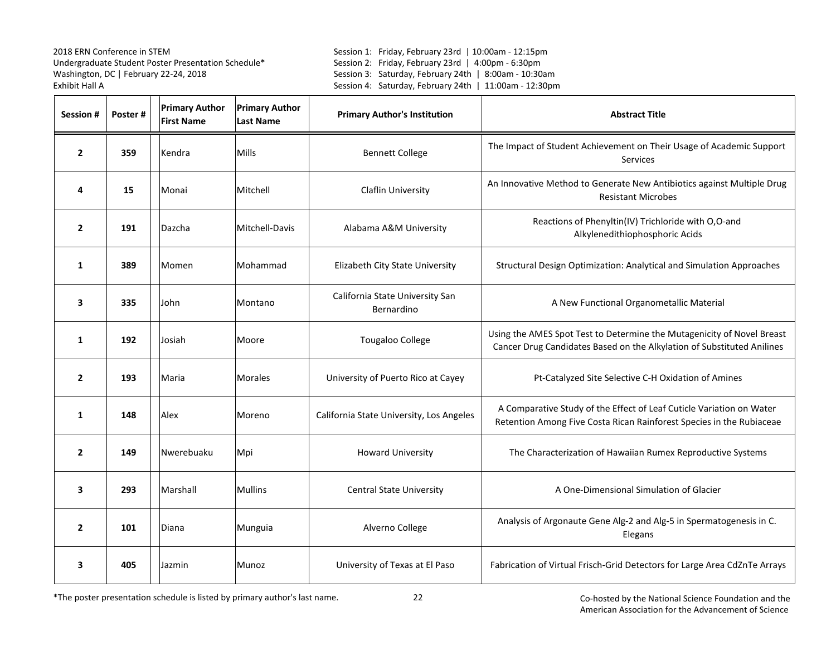Session 1: Friday, February 23rd | 10:00am - 12:15pm Session 2: Friday, February 23rd | 4:00pm - 6:30pm Session 3: Saturday, February 24th | 8:00am - 10:30am Session 4: Saturday, February 24th | 11:00am - 12:30pm

| Session #      | Poster# | <b>Primary Author</b><br><b>First Name</b> | <b>Primary Author</b><br><b>Last Name</b> | <b>Primary Author's Institution</b>           | <b>Abstract Title</b>                                                                                                                            |
|----------------|---------|--------------------------------------------|-------------------------------------------|-----------------------------------------------|--------------------------------------------------------------------------------------------------------------------------------------------------|
| $\overline{2}$ | 359     | Kendra                                     | Mills                                     | <b>Bennett College</b>                        | The Impact of Student Achievement on Their Usage of Academic Support<br><b>Services</b>                                                          |
| 4              | 15      | Monai                                      | Mitchell                                  | Claflin University                            | An Innovative Method to Generate New Antibiotics against Multiple Drug<br><b>Resistant Microbes</b>                                              |
| $\overline{2}$ | 191     | Dazcha                                     | Mitchell-Davis                            | Alabama A&M University                        | Reactions of Phenyltin(IV) Trichloride with O,O-and<br>Alkylenedithiophosphoric Acids                                                            |
| 1              | 389     | Momen                                      | Mohammad                                  | Elizabeth City State University               | Structural Design Optimization: Analytical and Simulation Approaches                                                                             |
| 3              | 335     | John                                       | Montano                                   | California State University San<br>Bernardino | A New Functional Organometallic Material                                                                                                         |
| $\mathbf{1}$   | 192     | Josiah                                     | Moore                                     | <b>Tougaloo College</b>                       | Using the AMES Spot Test to Determine the Mutagenicity of Novel Breast<br>Cancer Drug Candidates Based on the Alkylation of Substituted Anilines |
| $\overline{2}$ | 193     | Maria                                      | <b>Morales</b>                            | University of Puerto Rico at Cayey            | Pt-Catalyzed Site Selective C-H Oxidation of Amines                                                                                              |
| $\mathbf{1}$   | 148     | Alex                                       | Moreno                                    | California State University, Los Angeles      | A Comparative Study of the Effect of Leaf Cuticle Variation on Water<br>Retention Among Five Costa Rican Rainforest Species in the Rubiaceae     |
| $\overline{2}$ | 149     | Nwerebuaku                                 | Mpi                                       | <b>Howard University</b>                      | The Characterization of Hawaiian Rumex Reproductive Systems                                                                                      |
| 3              | 293     | Marshall                                   | <b>Mullins</b>                            | <b>Central State University</b>               | A One-Dimensional Simulation of Glacier                                                                                                          |
| $\overline{2}$ | 101     | Diana                                      | Munguia                                   | Alverno College                               | Analysis of Argonaute Gene Alg-2 and Alg-5 in Spermatogenesis in C.<br>Elegans                                                                   |
| 3              | 405     | Jazmin                                     | Munoz                                     | University of Texas at El Paso                | Fabrication of Virtual Frisch-Grid Detectors for Large Area CdZnTe Arrays                                                                        |

\*The poster presentation schedule is listed by primary author's last name.

22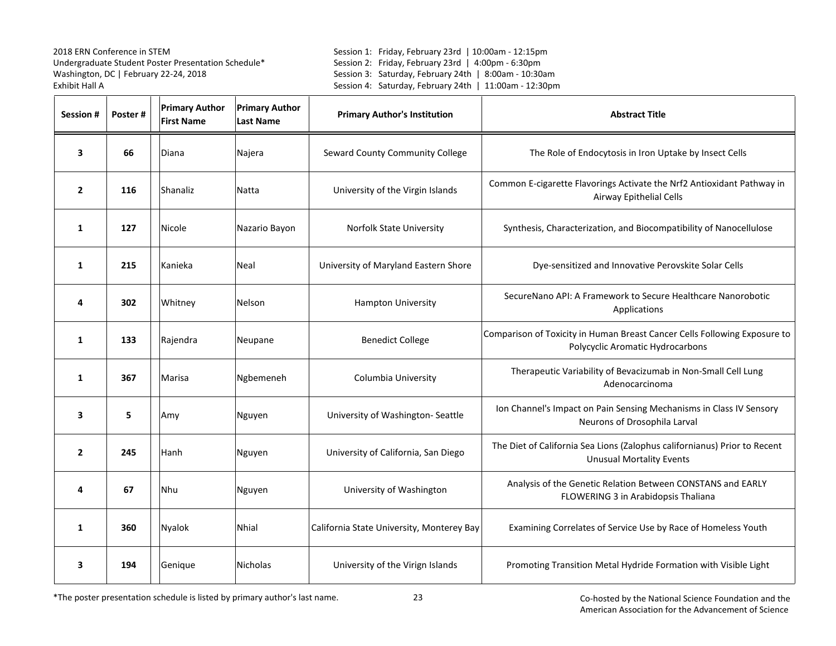Session 1: Friday, February 23rd | 10:00am - 12:15pm Session 2: Friday, February 23rd | 4:00pm - 6:30pm Session 3: Saturday, February 24th | 8:00am - 10:30am Session 4: Saturday, February 24th | 11:00am - 12:30pm

| Session #      | Poster# | <b>Primary Author</b><br><b>First Name</b> | <b>Primary Author</b><br><b>Last Name</b> | <b>Primary Author's Institution</b>       | <b>Abstract Title</b>                                                                                         |
|----------------|---------|--------------------------------------------|-------------------------------------------|-------------------------------------------|---------------------------------------------------------------------------------------------------------------|
| 3              | 66      | Diana                                      | Najera                                    | Seward County Community College           | The Role of Endocytosis in Iron Uptake by Insect Cells                                                        |
| $\overline{2}$ | 116     | Shanaliz                                   | Natta                                     | University of the Virgin Islands          | Common E-cigarette Flavorings Activate the Nrf2 Antioxidant Pathway in<br>Airway Epithelial Cells             |
| 1              | 127     | Nicole                                     | Nazario Bayon                             | <b>Norfolk State University</b>           | Synthesis, Characterization, and Biocompatibility of Nanocellulose                                            |
| 1              | 215     | Kanieka                                    | Neal                                      | University of Maryland Eastern Shore      | Dye-sensitized and Innovative Perovskite Solar Cells                                                          |
| 4              | 302     | Whitney                                    | <b>Nelson</b>                             | <b>Hampton University</b>                 | SecureNano API: A Framework to Secure Healthcare Nanorobotic<br>Applications                                  |
| $\mathbf{1}$   | 133     | Rajendra                                   | Neupane                                   | <b>Benedict College</b>                   | Comparison of Toxicity in Human Breast Cancer Cells Following Exposure to<br>Polycyclic Aromatic Hydrocarbons |
| $\mathbf{1}$   | 367     | Marisa                                     | Ngbemeneh                                 | Columbia University                       | Therapeutic Variability of Bevacizumab in Non-Small Cell Lung<br>Adenocarcinoma                               |
| 3              | 5       | Amy                                        | Nguyen                                    | University of Washington-Seattle          | Ion Channel's Impact on Pain Sensing Mechanisms in Class IV Sensory<br>Neurons of Drosophila Larval           |
| $\overline{2}$ | 245     | Hanh                                       | Nguyen                                    | University of California, San Diego       | The Diet of California Sea Lions (Zalophus californianus) Prior to Recent<br><b>Unusual Mortality Events</b>  |
| 4              | 67      | Nhu                                        | Nguyen                                    | University of Washington                  | Analysis of the Genetic Relation Between CONSTANS and EARLY<br>FLOWERING 3 in Arabidopsis Thaliana            |
| 1              | 360     | Nyalok                                     | <b>Nhial</b>                              | California State University, Monterey Bay | Examining Correlates of Service Use by Race of Homeless Youth                                                 |
| 3              | 194     | Genique                                    | Nicholas                                  | University of the Virign Islands          | Promoting Transition Metal Hydride Formation with Visible Light                                               |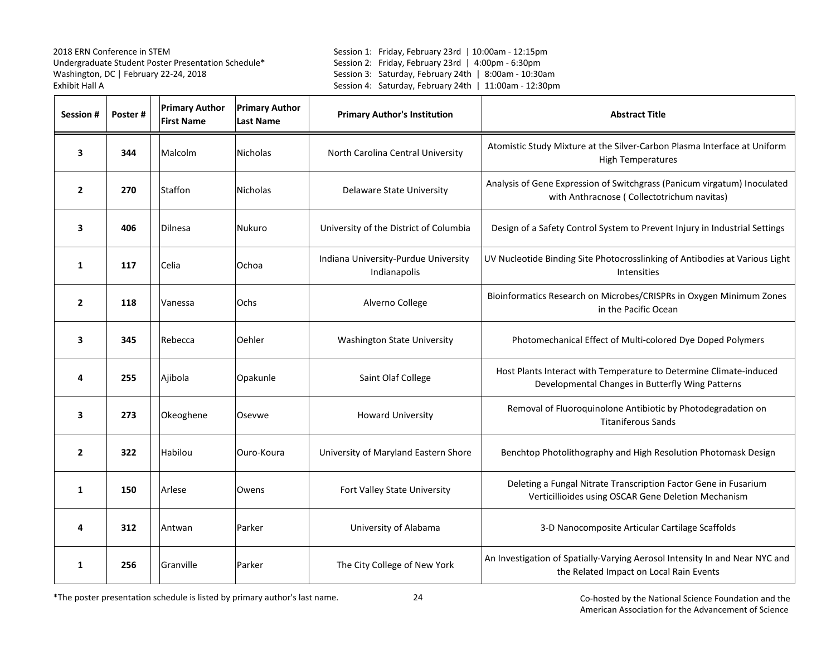Session 1: Friday, February 23rd | 10:00am - 12:15pm Session 2: Friday, February 23rd | 4:00pm - 6:30pm Session 3: Saturday, February 24th | 8:00am - 10:30am Session 4: Saturday, February 24th | 11:00am - 12:30pm

| Session #      | Poster# | <b>Primary Author</b><br><b>First Name</b> | <b>Primary Author</b><br><b>Last Name</b> | <b>Primary Author's Institution</b>                  | <b>Abstract Title</b>                                                                                                  |
|----------------|---------|--------------------------------------------|-------------------------------------------|------------------------------------------------------|------------------------------------------------------------------------------------------------------------------------|
| 3              | 344     | Malcolm                                    | <b>Nicholas</b>                           | North Carolina Central University                    | Atomistic Study Mixture at the Silver-Carbon Plasma Interface at Uniform<br><b>High Temperatures</b>                   |
| $\overline{2}$ | 270     | Staffon                                    | <b>Nicholas</b>                           | <b>Delaware State University</b>                     | Analysis of Gene Expression of Switchgrass (Panicum virgatum) Inoculated<br>with Anthracnose (Collectotrichum navitas) |
| 3              | 406     | Dilnesa                                    | Nukuro                                    | University of the District of Columbia               | Design of a Safety Control System to Prevent Injury in Industrial Settings                                             |
| $\mathbf{1}$   | 117     | Celia                                      | Ochoa                                     | Indiana University-Purdue University<br>Indianapolis | UV Nucleotide Binding Site Photocrosslinking of Antibodies at Various Light<br><b>Intensities</b>                      |
| $\overline{2}$ | 118     | Vanessa                                    | Ochs                                      | Alverno College                                      | Bioinformatics Research on Microbes/CRISPRs in Oxygen Minimum Zones<br>in the Pacific Ocean                            |
| 3              | 345     | Rebecca                                    | Oehler                                    | <b>Washington State University</b>                   | Photomechanical Effect of Multi-colored Dye Doped Polymers                                                             |
| 4              | 255     | Ajibola                                    | Opakunle                                  | Saint Olaf College                                   | Host Plants Interact with Temperature to Determine Climate-induced<br>Developmental Changes in Butterfly Wing Patterns |
| 3              | 273     | Okeoghene                                  | Osevwe                                    | <b>Howard University</b>                             | Removal of Fluoroquinolone Antibiotic by Photodegradation on<br><b>Titaniferous Sands</b>                              |
| $\overline{2}$ | 322     | Habilou                                    | Ouro-Koura                                | University of Maryland Eastern Shore                 | Benchtop Photolithography and High Resolution Photomask Design                                                         |
| 1              | 150     | Arlese                                     | Owens                                     | Fort Valley State University                         | Deleting a Fungal Nitrate Transcription Factor Gene in Fusarium<br>Verticillioides using OSCAR Gene Deletion Mechanism |
| 4              | 312     | Antwan                                     | Parker                                    | University of Alabama                                | 3-D Nanocomposite Articular Cartilage Scaffolds                                                                        |
| $\mathbf{1}$   | 256     | Granville                                  | Parker                                    | The City College of New York                         | An Investigation of Spatially-Varying Aerosol Intensity In and Near NYC and<br>the Related Impact on Local Rain Events |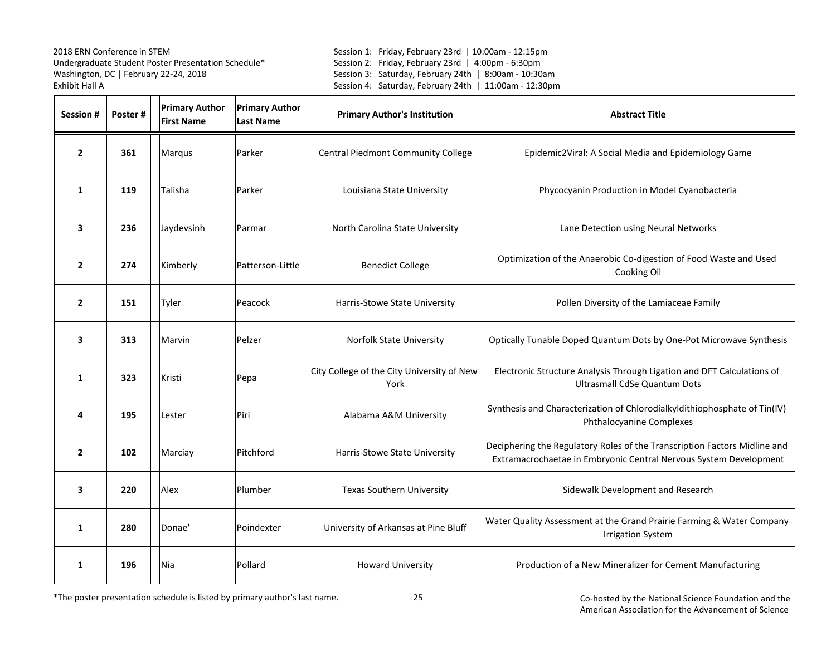Session 1: Friday, February 23rd | 10:00am - 12:15pm Session 2: Friday, February 23rd | 4:00pm - 6:30pm Session 3: Saturday, February 24th | 8:00am - 10:30am Session 4: Saturday, February 24th | 11:00am - 12:30pm

| Session #      | Poster# | <b>Primary Author</b><br><b>First Name</b> | <b>Primary Author</b><br><b>Last Name</b> | <b>Primary Author's Institution</b>                | <b>Abstract Title</b>                                                                                                                          |
|----------------|---------|--------------------------------------------|-------------------------------------------|----------------------------------------------------|------------------------------------------------------------------------------------------------------------------------------------------------|
| $\overline{2}$ | 361     | Marqus                                     | Parker                                    | Central Piedmont Community College                 | Epidemic2Viral: A Social Media and Epidemiology Game                                                                                           |
| 1              | 119     | Talisha                                    | Parker                                    | Louisiana State University                         | Phycocyanin Production in Model Cyanobacteria                                                                                                  |
| 3              | 236     | Jaydevsinh                                 | Parmar                                    | North Carolina State University                    | Lane Detection using Neural Networks                                                                                                           |
| $\mathbf{2}$   | 274     | Kimberly                                   | Patterson-Little                          | <b>Benedict College</b>                            | Optimization of the Anaerobic Co-digestion of Food Waste and Used<br>Cooking Oil                                                               |
| $\mathbf{2}$   | 151     | Tyler                                      | Peacock                                   | Harris-Stowe State University                      | Pollen Diversity of the Lamiaceae Family                                                                                                       |
| 3              | 313     | Marvin                                     | Pelzer                                    | Norfolk State University                           | Optically Tunable Doped Quantum Dots by One-Pot Microwave Synthesis                                                                            |
| 1              | 323     | Kristi                                     | Pepa                                      | City College of the City University of New<br>York | Electronic Structure Analysis Through Ligation and DFT Calculations of<br><b>Ultrasmall CdSe Quantum Dots</b>                                  |
| 4              | 195     | Lester                                     | Piri                                      | Alabama A&M University                             | Synthesis and Characterization of Chlorodialkyldithiophosphate of Tin(IV)<br><b>Phthalocyanine Complexes</b>                                   |
| $\overline{2}$ | 102     | Marciay                                    | Pitchford                                 | Harris-Stowe State University                      | Deciphering the Regulatory Roles of the Transcription Factors Midline and<br>Extramacrochaetae in Embryonic Central Nervous System Development |
| 3              | 220     | Alex                                       | Plumber                                   | <b>Texas Southern University</b>                   | Sidewalk Development and Research                                                                                                              |
| 1              | 280     | Donae'                                     | Poindexter                                | University of Arkansas at Pine Bluff               | Water Quality Assessment at the Grand Prairie Farming & Water Company<br><b>Irrigation System</b>                                              |
| 1              | 196     | Nia                                        | Pollard                                   | <b>Howard University</b>                           | Production of a New Mineralizer for Cement Manufacturing                                                                                       |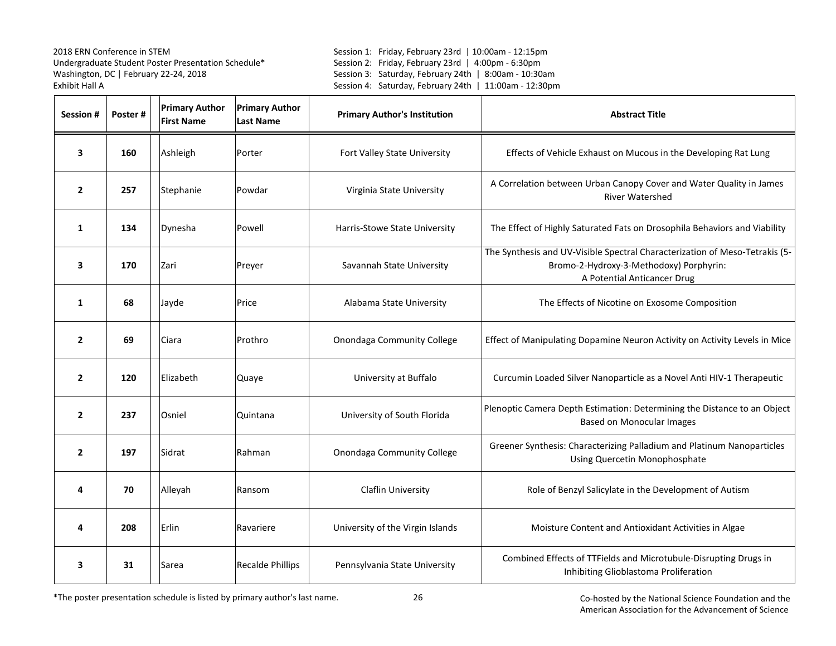Session 1: Friday, February 23rd | 10:00am - 12:15pm Session 2: Friday, February 23rd | 4:00pm - 6:30pm Session 3: Saturday, February 24th | 8:00am - 10:30am Session 4: Saturday, February 24th | 11:00am - 12:30pm

| Session #      | Poster# | <b>Primary Author</b><br><b>First Name</b> | <b>Primary Author</b><br><b>Last Name</b> | <b>Primary Author's Institution</b> | <b>Abstract Title</b>                                                                                                                                 |
|----------------|---------|--------------------------------------------|-------------------------------------------|-------------------------------------|-------------------------------------------------------------------------------------------------------------------------------------------------------|
| 3              | 160     | Ashleigh                                   | Porter                                    | Fort Valley State University        | Effects of Vehicle Exhaust on Mucous in the Developing Rat Lung                                                                                       |
| $\overline{2}$ | 257     | Stephanie                                  | Powdar                                    | Virginia State University           | A Correlation between Urban Canopy Cover and Water Quality in James<br><b>River Watershed</b>                                                         |
| 1              | 134     | Dynesha                                    | Powell                                    | Harris-Stowe State University       | The Effect of Highly Saturated Fats on Drosophila Behaviors and Viability                                                                             |
| 3              | 170     | Zari                                       | Preyer                                    | Savannah State University           | The Synthesis and UV-Visible Spectral Characterization of Meso-Tetrakis (5-<br>Bromo-2-Hydroxy-3-Methodoxy) Porphyrin:<br>A Potential Anticancer Drug |
| 1              | 68      | Jayde                                      | Price                                     | Alabama State University            | The Effects of Nicotine on Exosome Composition                                                                                                        |
| $\overline{2}$ | 69      | Ciara                                      | Prothro                                   | Onondaga Community College          | Effect of Manipulating Dopamine Neuron Activity on Activity Levels in Mice                                                                            |
| $\overline{2}$ | 120     | Elizabeth                                  | Quaye                                     | University at Buffalo               | Curcumin Loaded Silver Nanoparticle as a Novel Anti HIV-1 Therapeutic                                                                                 |
| $\overline{2}$ | 237     | Osniel                                     | Quintana                                  | University of South Florida         | Plenoptic Camera Depth Estimation: Determining the Distance to an Object<br><b>Based on Monocular Images</b>                                          |
| $\overline{2}$ | 197     | Sidrat                                     | Rahman                                    | <b>Onondaga Community College</b>   | Greener Synthesis: Characterizing Palladium and Platinum Nanoparticles<br>Using Quercetin Monophosphate                                               |
| 4              | 70      | Alleyah                                    | Ransom                                    | <b>Claflin University</b>           | Role of Benzyl Salicylate in the Development of Autism                                                                                                |
| 4              | 208     | Erlin                                      | Ravariere                                 | University of the Virgin Islands    | Moisture Content and Antioxidant Activities in Algae                                                                                                  |
| 3              | 31      | Sarea                                      | <b>Recalde Phillips</b>                   | Pennsylvania State University       | Combined Effects of TTFields and Microtubule-Disrupting Drugs in<br>Inhibiting Glioblastoma Proliferation                                             |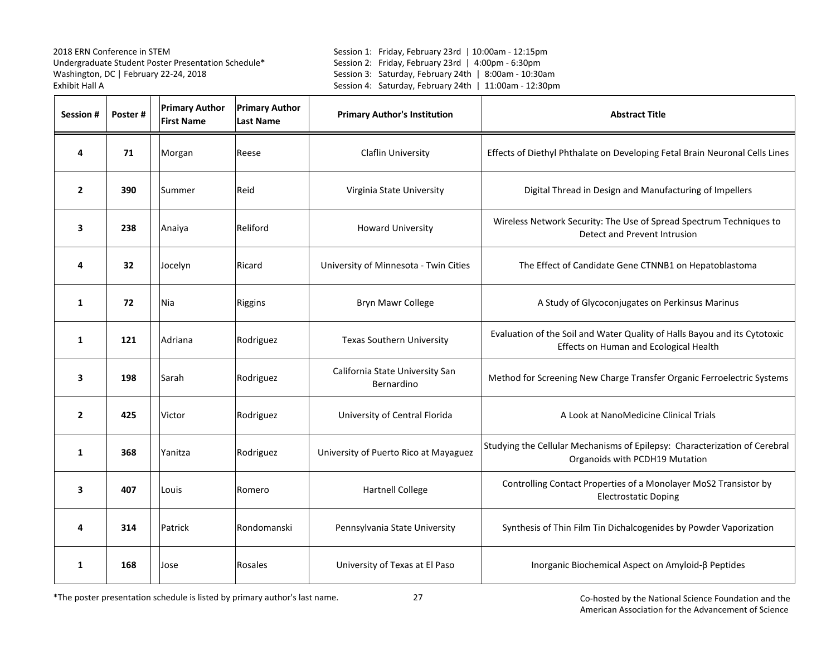Session 1: Friday, February 23rd | 10:00am - 12:15pm Session 2: Friday, February 23rd | 4:00pm - 6:30pm Session 3: Saturday, February 24th | 8:00am - 10:30am Session 4: Saturday, February 24th | 11:00am - 12:30pm

| Session #      | Poster# | <b>Primary Author</b><br><b>First Name</b> | <b>Primary Author</b><br><b>Last Name</b> | <b>Primary Author's Institution</b>           | <b>Abstract Title</b>                                                                                               |
|----------------|---------|--------------------------------------------|-------------------------------------------|-----------------------------------------------|---------------------------------------------------------------------------------------------------------------------|
| 4              | 71      | Morgan                                     | Reese                                     | Claflin University                            | Effects of Diethyl Phthalate on Developing Fetal Brain Neuronal Cells Lines                                         |
| $\overline{2}$ | 390     | Summer                                     | Reid                                      | Virginia State University                     | Digital Thread in Design and Manufacturing of Impellers                                                             |
| 3              | 238     | Anaiya                                     | Reliford                                  | <b>Howard University</b>                      | Wireless Network Security: The Use of Spread Spectrum Techniques to<br>Detect and Prevent Intrusion                 |
| 4              | 32      | Jocelyn                                    | Ricard                                    | University of Minnesota - Twin Cities         | The Effect of Candidate Gene CTNNB1 on Hepatoblastoma                                                               |
| 1              | 72      | Nia                                        | Riggins                                   | <b>Bryn Mawr College</b>                      | A Study of Glycoconjugates on Perkinsus Marinus                                                                     |
| 1              | 121     | Adriana                                    | Rodriguez                                 | <b>Texas Southern University</b>              | Evaluation of the Soil and Water Quality of Halls Bayou and its Cytotoxic<br>Effects on Human and Ecological Health |
| 3              | 198     | Sarah                                      | Rodriguez                                 | California State University San<br>Bernardino | Method for Screening New Charge Transfer Organic Ferroelectric Systems                                              |
| $\overline{2}$ | 425     | Victor                                     | Rodriguez                                 | University of Central Florida                 | A Look at NanoMedicine Clinical Trials                                                                              |
| 1              | 368     | Yanitza                                    | Rodriguez                                 | University of Puerto Rico at Mayaguez         | Studying the Cellular Mechanisms of Epilepsy: Characterization of Cerebral<br>Organoids with PCDH19 Mutation        |
| 3              | 407     | Louis                                      | Romero                                    | <b>Hartnell College</b>                       | Controlling Contact Properties of a Monolayer MoS2 Transistor by<br><b>Electrostatic Doping</b>                     |
| 4              | 314     | Patrick                                    | Rondomanski                               | Pennsylvania State University                 | Synthesis of Thin Film Tin Dichalcogenides by Powder Vaporization                                                   |
| $\mathbf{1}$   | 168     | Jose                                       | Rosales                                   | University of Texas at El Paso                | Inorganic Biochemical Aspect on Amyloid-β Peptides                                                                  |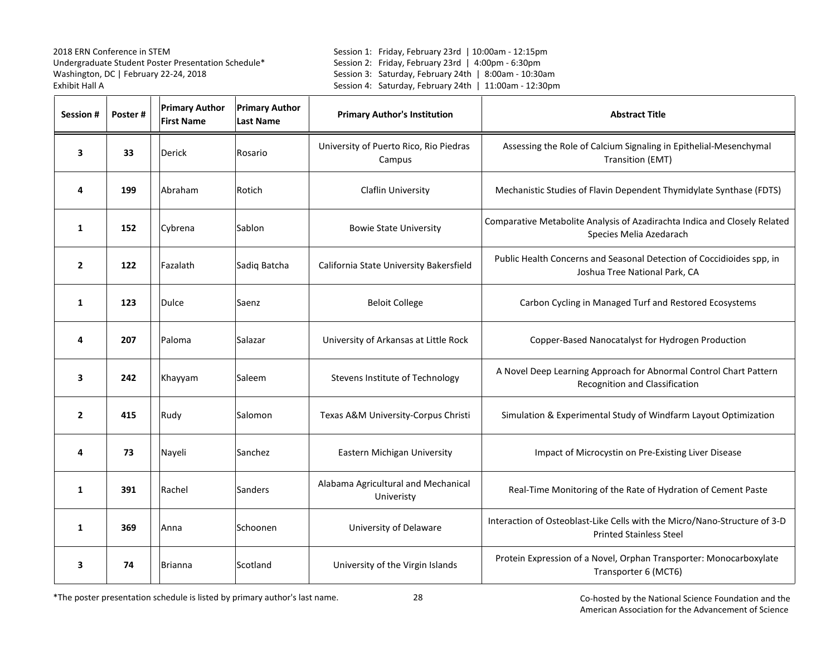Session 1: Friday, February 23rd | 10:00am - 12:15pm Session 2: Friday, February 23rd | 4:00pm - 6:30pm Session 3: Saturday, February 24th | 8:00am - 10:30am Session 4: Saturday, February 24th | 11:00am - 12:30pm

| Session #      | Poster# | <b>Primary Author</b><br><b>First Name</b> | <b>Primary Author</b><br><b>Last Name</b> | <b>Primary Author's Institution</b>               | <b>Abstract Title</b>                                                                                       |
|----------------|---------|--------------------------------------------|-------------------------------------------|---------------------------------------------------|-------------------------------------------------------------------------------------------------------------|
| 3              | 33      | Derick                                     | Rosario                                   | University of Puerto Rico, Rio Piedras<br>Campus  | Assessing the Role of Calcium Signaling in Epithelial-Mesenchymal<br>Transition (EMT)                       |
| 4              | 199     | Abraham                                    | Rotich                                    | <b>Claflin University</b>                         | Mechanistic Studies of Flavin Dependent Thymidylate Synthase (FDTS)                                         |
| 1              | 152     | Cybrena                                    | Sablon                                    | <b>Bowie State University</b>                     | Comparative Metabolite Analysis of Azadirachta Indica and Closely Related<br>Species Melia Azedarach        |
| $\overline{2}$ | 122     | Fazalath                                   | Sadiq Batcha                              | California State University Bakersfield           | Public Health Concerns and Seasonal Detection of Coccidioides spp, in<br>Joshua Tree National Park, CA      |
| 1              | 123     | Dulce                                      | Saenz                                     | <b>Beloit College</b>                             | Carbon Cycling in Managed Turf and Restored Ecosystems                                                      |
| 4              | 207     | Paloma                                     | Salazar                                   | University of Arkansas at Little Rock             | Copper-Based Nanocatalyst for Hydrogen Production                                                           |
| 3              | 242     | Khayyam                                    | Saleem                                    | Stevens Institute of Technology                   | A Novel Deep Learning Approach for Abnormal Control Chart Pattern<br>Recognition and Classification         |
| $\overline{2}$ | 415     | Rudy                                       | Salomon                                   | Texas A&M University-Corpus Christi               | Simulation & Experimental Study of Windfarm Layout Optimization                                             |
| 4              | 73      | Nayeli                                     | Sanchez                                   | Eastern Michigan University                       | Impact of Microcystin on Pre-Existing Liver Disease                                                         |
| 1              | 391     | Rachel                                     | Sanders                                   | Alabama Agricultural and Mechanical<br>Univeristy | Real-Time Monitoring of the Rate of Hydration of Cement Paste                                               |
| 1              | 369     | Anna                                       | Schoonen                                  | University of Delaware                            | Interaction of Osteoblast-Like Cells with the Micro/Nano-Structure of 3-D<br><b>Printed Stainless Steel</b> |
| 3              | 74      | <b>Brianna</b>                             | Scotland                                  | University of the Virgin Islands                  | Protein Expression of a Novel, Orphan Transporter: Monocarboxylate<br>Transporter 6 (MCT6)                  |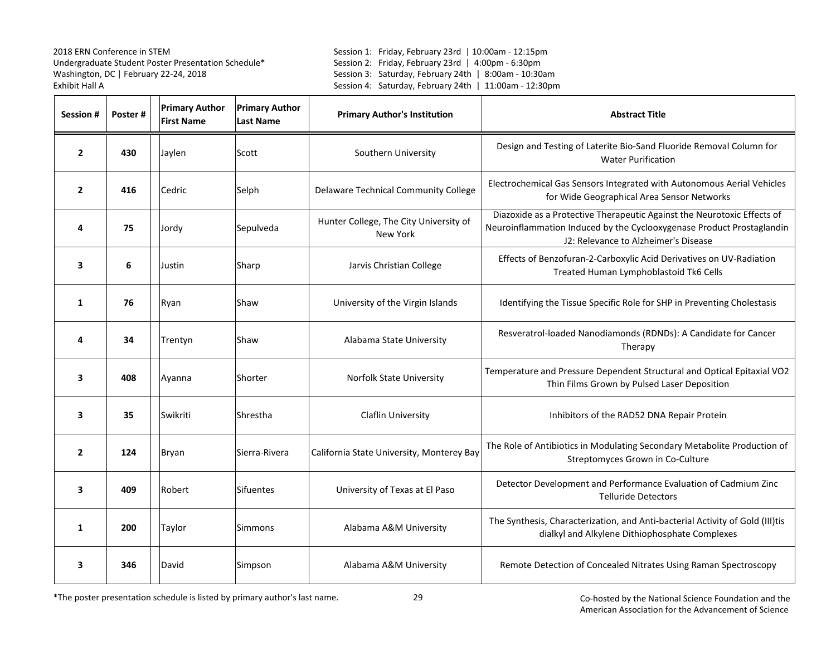Session 1: Friday, February 23rd | 10:00am - 12:15pm Session 2: Friday, February 23rd | 4:00pm - 6:30pm Session 3: Saturday, February 24th | 8:00am - 10:30am Session 4: Saturday, February 24th | 11:00am - 12:30pm

| <b>Session#</b> | Poster# | <b>Primary Author</b><br><b>First Name</b> | <b>Primary Author</b><br><b>Last Name</b> | <b>Primary Author's Institution</b>                       | <b>Abstract Title</b>                                                                                                                                                                    |
|-----------------|---------|--------------------------------------------|-------------------------------------------|-----------------------------------------------------------|------------------------------------------------------------------------------------------------------------------------------------------------------------------------------------------|
| $\overline{2}$  | 430     | Jaylen                                     | Scott                                     | Southern University                                       | Design and Testing of Laterite Bio-Sand Fluoride Removal Column for<br><b>Water Purification</b>                                                                                         |
| $\mathbf{2}$    | 416     | Cedric                                     | Selph                                     | <b>Delaware Technical Community College</b>               | Electrochemical Gas Sensors Integrated with Autonomous Aerial Vehicles<br>for Wide Geographical Area Sensor Networks                                                                     |
| 4               | 75      | Jordy                                      | Sepulveda                                 | Hunter College, The City University of<br><b>New York</b> | Diazoxide as a Protective Therapeutic Against the Neurotoxic Effects of<br>Neuroinflammation Induced by the Cyclooxygenase Product Prostaglandin<br>J2: Relevance to Alzheimer's Disease |
| 3               | 6       | Justin                                     | Sharp                                     | Jarvis Christian College                                  | Effects of Benzofuran-2-Carboxylic Acid Derivatives on UV-Radiation<br>Treated Human Lymphoblastoid Tk6 Cells                                                                            |
| 1               | 76      | Ryan                                       | Shaw                                      | University of the Virgin Islands                          | Identifying the Tissue Specific Role for SHP in Preventing Cholestasis                                                                                                                   |
| 4               | 34      | Trentyn                                    | Shaw                                      | Alabama State University                                  | Resveratrol-loaded Nanodiamonds (RDNDs): A Candidate for Cancer<br>Therapy                                                                                                               |
| 3               | 408     | Ayanna                                     | Shorter                                   | <b>Norfolk State University</b>                           | Temperature and Pressure Dependent Structural and Optical Epitaxial VO2<br>Thin Films Grown by Pulsed Laser Deposition                                                                   |
| 3               | 35      | Swikriti                                   | Shrestha                                  | Claflin University                                        | Inhibitors of the RAD52 DNA Repair Protein                                                                                                                                               |
| $\overline{2}$  | 124     | Bryan                                      | Sierra-Rivera                             | California State University, Monterey Bay                 | The Role of Antibiotics in Modulating Secondary Metabolite Production of<br>Streptomyces Grown in Co-Culture                                                                             |
| 3               | 409     | Robert                                     | Sifuentes                                 | University of Texas at El Paso                            | Detector Development and Performance Evaluation of Cadmium Zinc<br><b>Telluride Detectors</b>                                                                                            |
| $\mathbf{1}$    | 200     | Taylor                                     | Simmons                                   | Alabama A&M University                                    | The Synthesis, Characterization, and Anti-bacterial Activity of Gold (III)tis<br>dialkyl and Alkylene Dithiophosphate Complexes                                                          |
| 3               | 346     | David                                      | Simpson                                   | Alabama A&M University                                    | Remote Detection of Concealed Nitrates Using Raman Spectroscopy                                                                                                                          |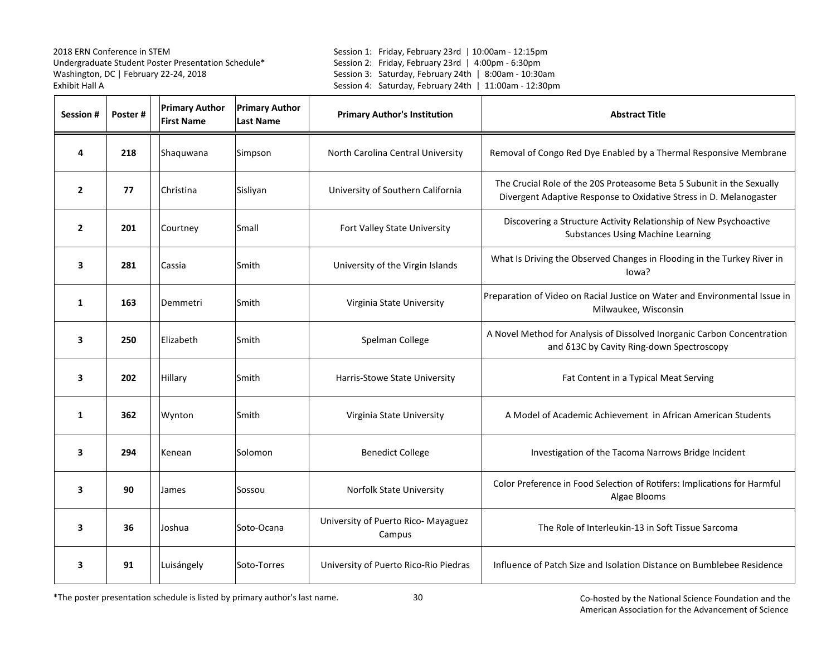Session 1: Friday, February 23rd | 10:00am - 12:15pm Session 2: Friday, February 23rd | 4:00pm - 6:30pm Session 3: Saturday, February 24th | 8:00am - 10:30am Session 4: Saturday, February 24th | 11:00am - 12:30pm

| <b>Session #</b> | Poster# | <b>Primary Author</b><br><b>First Name</b> | <b>Primary Author</b><br><b>Last Name</b> | <b>Primary Author's Institution</b>           | <b>Abstract Title</b>                                                                                                                       |
|------------------|---------|--------------------------------------------|-------------------------------------------|-----------------------------------------------|---------------------------------------------------------------------------------------------------------------------------------------------|
| 4                | 218     | Shaquwana                                  | Simpson                                   | North Carolina Central University             | Removal of Congo Red Dye Enabled by a Thermal Responsive Membrane                                                                           |
| $\overline{2}$   | 77      | Christina                                  | Sisliyan                                  | University of Southern California             | The Crucial Role of the 20S Proteasome Beta 5 Subunit in the Sexually<br>Divergent Adaptive Response to Oxidative Stress in D. Melanogaster |
| $\overline{2}$   | 201     | Courtney                                   | Small                                     | Fort Valley State University                  | Discovering a Structure Activity Relationship of New Psychoactive<br><b>Substances Using Machine Learning</b>                               |
| 3                | 281     | Cassia                                     | Smith                                     | University of the Virgin Islands              | What Is Driving the Observed Changes in Flooding in the Turkey River in<br>lowa?                                                            |
| 1                | 163     | Demmetri                                   | Smith                                     | Virginia State University                     | Preparation of Video on Racial Justice on Water and Environmental Issue in<br>Milwaukee, Wisconsin                                          |
| 3                | 250     | Elizabeth                                  | Smith                                     | Spelman College                               | A Novel Method for Analysis of Dissolved Inorganic Carbon Concentration<br>and 613C by Cavity Ring-down Spectroscopy                        |
| 3                | 202     | Hillary                                    | Smith                                     | Harris-Stowe State University                 | Fat Content in a Typical Meat Serving                                                                                                       |
| 1                | 362     | Wynton                                     | Smith                                     | Virginia State University                     | A Model of Academic Achievement in African American Students                                                                                |
| 3                | 294     | Kenean                                     | Solomon                                   | <b>Benedict College</b>                       | Investigation of the Tacoma Narrows Bridge Incident                                                                                         |
| 3                | 90      | James                                      | Sossou                                    | Norfolk State University                      | Color Preference in Food Selection of Rotifers: Implications for Harmful<br>Algae Blooms                                                    |
| 3                | 36      | Joshua                                     | Soto-Ocana                                | University of Puerto Rico- Mayaguez<br>Campus | The Role of Interleukin-13 in Soft Tissue Sarcoma                                                                                           |
| 3                | 91      | Luisángely                                 | Soto-Torres                               | University of Puerto Rico-Rio Piedras         | Influence of Patch Size and Isolation Distance on Bumblebee Residence                                                                       |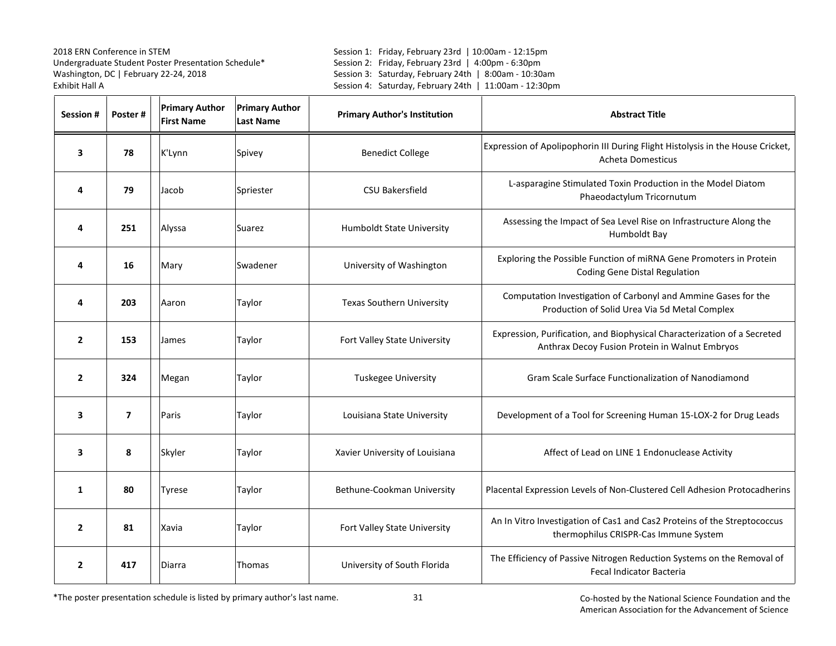Session 1: Friday, February 23rd | 10:00am - 12:15pm Session 2: Friday, February 23rd | 4:00pm - 6:30pm Session 3: Saturday, February 24th | 8:00am - 10:30am Session 4: Saturday, February 24th | 11:00am - 12:30pm

| <b>Session #</b> | Poster#        | <b>Primary Author</b><br><b>First Name</b> | <b>Primary Author</b><br><b>Last Name</b> | <b>Primary Author's Institution</b> | <b>Abstract Title</b>                                                                                                      |
|------------------|----------------|--------------------------------------------|-------------------------------------------|-------------------------------------|----------------------------------------------------------------------------------------------------------------------------|
| 3                | 78             | K'Lynn                                     | Spivey                                    | <b>Benedict College</b>             | Expression of Apolipophorin III During Flight Histolysis in the House Cricket,<br>Acheta Domesticus                        |
| 4                | 79             | Jacob                                      | Spriester                                 | <b>CSU Bakersfield</b>              | L-asparagine Stimulated Toxin Production in the Model Diatom<br>Phaeodactylum Tricornutum                                  |
| 4                | 251            | Alyssa                                     | Suarez                                    | Humboldt State University           | Assessing the Impact of Sea Level Rise on Infrastructure Along the<br>Humboldt Bay                                         |
| 4                | 16             | Mary                                       | Swadener                                  | University of Washington            | Exploring the Possible Function of miRNA Gene Promoters in Protein<br><b>Coding Gene Distal Regulation</b>                 |
| 4                | 203            | Aaron                                      | Taylor                                    | <b>Texas Southern University</b>    | Computation Investigation of Carbonyl and Ammine Gases for the<br>Production of Solid Urea Via 5d Metal Complex            |
| $\overline{2}$   | 153            | James                                      | Taylor                                    | Fort Valley State University        | Expression, Purification, and Biophysical Characterization of a Secreted<br>Anthrax Decoy Fusion Protein in Walnut Embryos |
| $\overline{2}$   | 324            | Megan                                      | Taylor                                    | Tuskegee University                 | Gram Scale Surface Functionalization of Nanodiamond                                                                        |
| 3                | $\overline{7}$ | Paris                                      | Taylor                                    | Louisiana State University          | Development of a Tool for Screening Human 15-LOX-2 for Drug Leads                                                          |
| 3                | 8              | Skyler                                     | Taylor                                    | Xavier University of Louisiana      | Affect of Lead on LINE 1 Endonuclease Activity                                                                             |
| $\mathbf{1}$     | 80             | Tyrese                                     | Taylor                                    | Bethune-Cookman University          | Placental Expression Levels of Non-Clustered Cell Adhesion Protocadherins                                                  |
| $\overline{2}$   | 81             | Xavia                                      | Taylor                                    | Fort Valley State University        | An In Vitro Investigation of Cas1 and Cas2 Proteins of the Streptococcus<br>thermophilus CRISPR-Cas Immune System          |
| $\overline{2}$   | 417            | Diarra                                     | Thomas                                    | University of South Florida         | The Efficiency of Passive Nitrogen Reduction Systems on the Removal of<br><b>Fecal Indicator Bacteria</b>                  |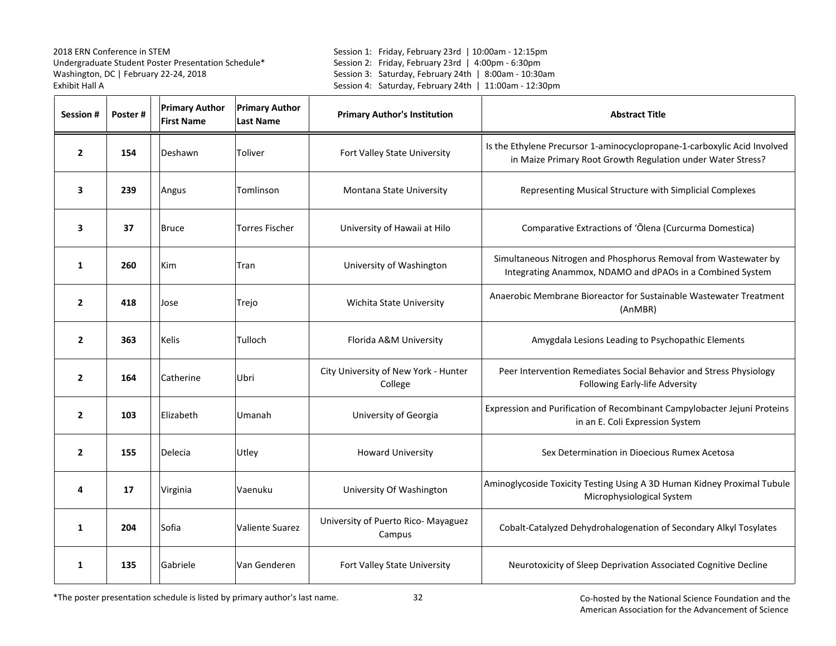Session 1: Friday, February 23rd | 10:00am - 12:15pm Session 2: Friday, February 23rd | 4:00pm - 6:30pm Session 3: Saturday, February 24th | 8:00am - 10:30am Session 4: Saturday, February 24th | 11:00am - 12:30pm

| <b>Session #</b> | Poster# | <b>Primary Author</b><br><b>First Name</b> | <b>Primary Author</b><br><b>Last Name</b> | <b>Primary Author's Institution</b>             | <b>Abstract Title</b>                                                                                                                   |
|------------------|---------|--------------------------------------------|-------------------------------------------|-------------------------------------------------|-----------------------------------------------------------------------------------------------------------------------------------------|
| $\overline{2}$   | 154     | Deshawn                                    | Toliver                                   | Fort Valley State University                    | Is the Ethylene Precursor 1-aminocyclopropane-1-carboxylic Acid Involved<br>in Maize Primary Root Growth Regulation under Water Stress? |
| 3                | 239     | Angus                                      | Tomlinson                                 | Montana State University                        | Representing Musical Structure with Simplicial Complexes                                                                                |
| 3                | 37      | <b>Bruce</b>                               | <b>Torres Fischer</b>                     | University of Hawaii at Hilo                    | Comparative Extractions of 'Ōlena (Curcurma Domestica)                                                                                  |
| 1                | 260     | <b>Kim</b>                                 | Tran                                      | University of Washington                        | Simultaneous Nitrogen and Phosphorus Removal from Wastewater by<br>Integrating Anammox, NDAMO and dPAOs in a Combined System            |
| $\overline{2}$   | 418     | Jose                                       | Trejo                                     | Wichita State University                        | Anaerobic Membrane Bioreactor for Sustainable Wastewater Treatment<br>(AnMBR)                                                           |
| $\overline{2}$   | 363     | <b>Kelis</b>                               | Tulloch                                   | Florida A&M University                          | Amygdala Lesions Leading to Psychopathic Elements                                                                                       |
| $\overline{2}$   | 164     | Catherine                                  | Ubri                                      | City University of New York - Hunter<br>College | Peer Intervention Remediates Social Behavior and Stress Physiology<br>Following Early-life Adversity                                    |
| $\overline{2}$   | 103     | Elizabeth                                  | Umanah                                    | University of Georgia                           | Expression and Purification of Recombinant Campylobacter Jejuni Proteins<br>in an E. Coli Expression System                             |
| $\overline{2}$   | 155     | Delecia                                    | Utley                                     | <b>Howard University</b>                        | Sex Determination in Dioecious Rumex Acetosa                                                                                            |
| 4                | 17      | Virginia                                   | Vaenuku                                   | University Of Washington                        | Aminoglycoside Toxicity Testing Using A 3D Human Kidney Proximal Tubule<br>Microphysiological System                                    |
| 1                | 204     | Sofia                                      | <b>Valiente Suarez</b>                    | University of Puerto Rico- Mayaguez<br>Campus   | Cobalt-Catalyzed Dehydrohalogenation of Secondary Alkyl Tosylates                                                                       |
| 1                | 135     | Gabriele                                   | Van Genderen                              | Fort Valley State University                    | Neurotoxicity of Sleep Deprivation Associated Cognitive Decline                                                                         |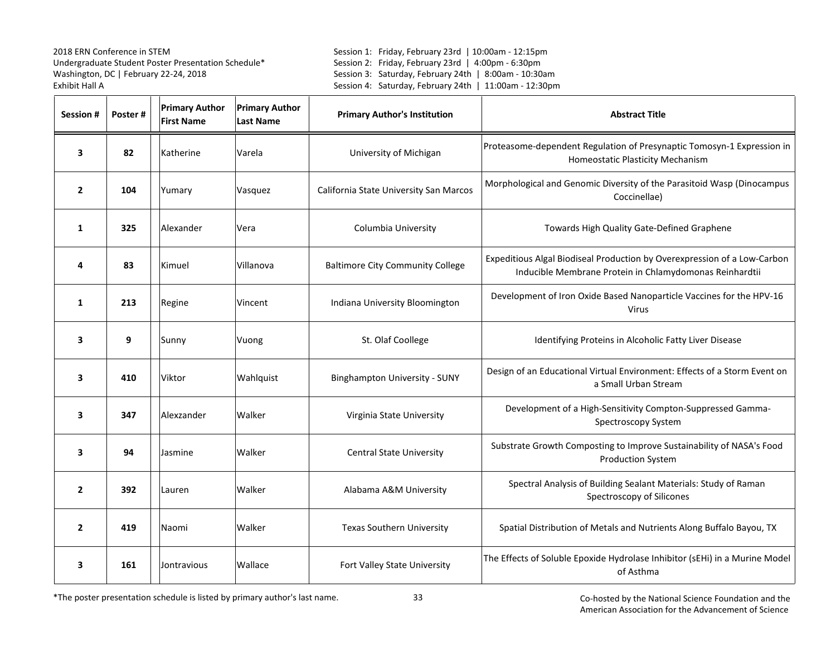Session 1: Friday, February 23rd | 10:00am - 12:15pm Session 2: Friday, February 23rd | 4:00pm - 6:30pm Session 3: Saturday, February 24th | 8:00am - 10:30am Session 4: Saturday, February 24th | 11:00am - 12:30pm

| Session #               | Poster# | <b>Primary Author</b><br><b>First Name</b> | <b>Primary Author</b><br><b>Last Name</b> | <b>Primary Author's Institution</b>     | <b>Abstract Title</b>                                                                                                               |
|-------------------------|---------|--------------------------------------------|-------------------------------------------|-----------------------------------------|-------------------------------------------------------------------------------------------------------------------------------------|
| 3                       | 82      | Katherine                                  | Varela                                    | University of Michigan                  | Proteasome-dependent Regulation of Presynaptic Tomosyn-1 Expression in<br>Homeostatic Plasticity Mechanism                          |
| $\overline{2}$          | 104     | Yumary                                     | Vasquez                                   | California State University San Marcos  | Morphological and Genomic Diversity of the Parasitoid Wasp (Dinocampus<br>Coccinellae)                                              |
| $\mathbf{1}$            | 325     | Alexander                                  | Vera                                      | Columbia University                     | Towards High Quality Gate-Defined Graphene                                                                                          |
| 4                       | 83      | Kimuel                                     | Villanova                                 | <b>Baltimore City Community College</b> | Expeditious Algal Biodiseal Production by Overexpression of a Low-Carbon<br>Inducible Membrane Protein in Chlamydomonas Reinhardtii |
| 1                       | 213     | Regine                                     | Vincent                                   | Indiana University Bloomington          | Development of Iron Oxide Based Nanoparticle Vaccines for the HPV-16<br><b>Virus</b>                                                |
| 3                       | 9       | Sunny                                      | Vuong                                     | St. Olaf Coollege                       | Identifying Proteins in Alcoholic Fatty Liver Disease                                                                               |
| 3                       | 410     | Viktor                                     | Wahlquist                                 | <b>Binghampton University - SUNY</b>    | Design of an Educational Virtual Environment: Effects of a Storm Event on<br>a Small Urban Stream                                   |
| $\overline{\mathbf{3}}$ | 347     | Alexzander                                 | Walker                                    | Virginia State University               | Development of a High-Sensitivity Compton-Suppressed Gamma-<br>Spectroscopy System                                                  |
| 3                       | 94      | Jasmine                                    | Walker                                    | <b>Central State University</b>         | Substrate Growth Composting to Improve Sustainability of NASA's Food<br><b>Production System</b>                                    |
| $\overline{2}$          | 392     | Lauren                                     | Walker                                    | Alabama A&M University                  | Spectral Analysis of Building Sealant Materials: Study of Raman<br>Spectroscopy of Silicones                                        |
| $\overline{2}$          | 419     | Naomi                                      | Walker                                    | <b>Texas Southern University</b>        | Spatial Distribution of Metals and Nutrients Along Buffalo Bayou, TX                                                                |
| 3                       | 161     | Jontravious                                | Wallace                                   | Fort Valley State University            | The Effects of Soluble Epoxide Hydrolase Inhibitor (sEHi) in a Murine Model<br>of Asthma                                            |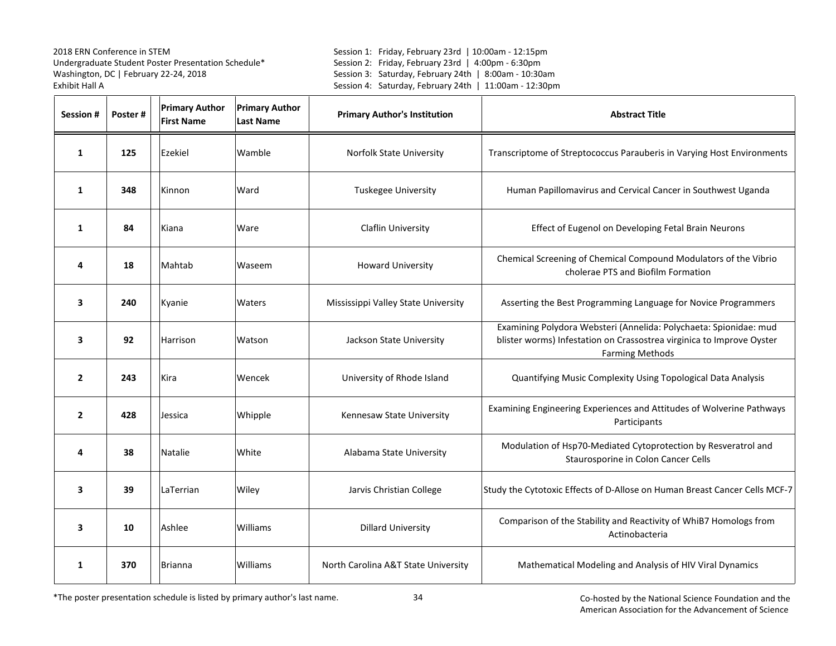Session 1: Friday, February 23rd | 10:00am - 12:15pm Session 2: Friday, February 23rd | 4:00pm - 6:30pm Session 3: Saturday, February 24th | 8:00am - 10:30am Session 4: Saturday, February 24th | 11:00am - 12:30pm

| Session #      | Poster# | <b>Primary Author</b><br><b>First Name</b> | <b>Primary Author</b><br><b>Last Name</b> | <b>Primary Author's Institution</b> | <b>Abstract Title</b>                                                                                                                                                |
|----------------|---------|--------------------------------------------|-------------------------------------------|-------------------------------------|----------------------------------------------------------------------------------------------------------------------------------------------------------------------|
| $\mathbf{1}$   | 125     | Ezekiel                                    | Wamble                                    | Norfolk State University            | Transcriptome of Streptococcus Parauberis in Varying Host Environments                                                                                               |
| $\mathbf{1}$   | 348     | Kinnon                                     | Ward                                      | Tuskegee University                 | Human Papillomavirus and Cervical Cancer in Southwest Uganda                                                                                                         |
| $\mathbf{1}$   | 84      | Kiana                                      | Ware                                      | Claflin University                  | Effect of Eugenol on Developing Fetal Brain Neurons                                                                                                                  |
| 4              | 18      | Mahtab                                     | Waseem                                    | <b>Howard University</b>            | Chemical Screening of Chemical Compound Modulators of the Vibrio<br>cholerae PTS and Biofilm Formation                                                               |
| 3              | 240     | Kyanie                                     | Waters                                    | Mississippi Valley State University | Asserting the Best Programming Language for Novice Programmers                                                                                                       |
| 3              | 92      | Harrison                                   | Watson                                    | Jackson State University            | Examining Polydora Websteri (Annelida: Polychaeta: Spionidae: mud<br>blister worms) Infestation on Crassostrea virginica to Improve Oyster<br><b>Farming Methods</b> |
| $\overline{2}$ | 243     | Kira                                       | Wencek                                    | University of Rhode Island          | Quantifying Music Complexity Using Topological Data Analysis                                                                                                         |
| $\overline{2}$ | 428     | Jessica                                    | Whipple                                   | Kennesaw State University           | Examining Engineering Experiences and Attitudes of Wolverine Pathways<br>Participants                                                                                |
| 4              | 38      | Natalie                                    | White                                     | Alabama State University            | Modulation of Hsp70-Mediated Cytoprotection by Resveratrol and<br>Staurosporine in Colon Cancer Cells                                                                |
| 3              | 39      | LaTerrian                                  | Wiley                                     | Jarvis Christian College            | Study the Cytotoxic Effects of D-Allose on Human Breast Cancer Cells MCF-7                                                                                           |
| 3              | 10      | Ashlee                                     | Williams                                  | <b>Dillard University</b>           | Comparison of the Stability and Reactivity of WhiB7 Homologs from<br>Actinobacteria                                                                                  |
| 1              | 370     | <b>Brianna</b>                             | Williams                                  | North Carolina A&T State University | Mathematical Modeling and Analysis of HIV Viral Dynamics                                                                                                             |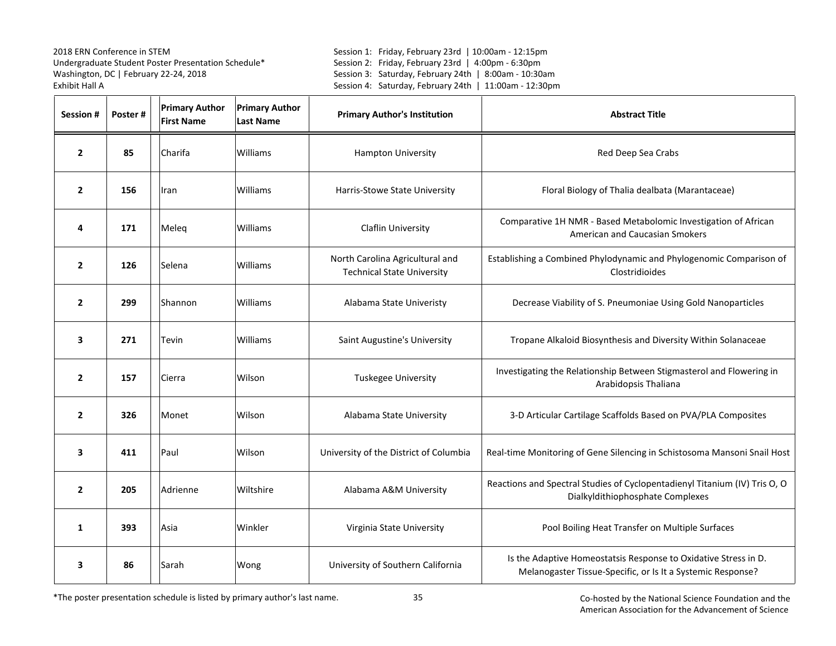Session 1: Friday, February 23rd | 10:00am - 12:15pm Session 2: Friday, February 23rd | 4:00pm - 6:30pm Session 3: Saturday, February 24th | 8:00am - 10:30am Session 4: Saturday, February 24th | 11:00am - 12:30pm

| Session #      | Poster# | <b>Primary Author</b><br><b>First Name</b> | <b>Primary Author</b><br><b>Last Name</b> | <b>Primary Author's Institution</b>                                  | <b>Abstract Title</b>                                                                                                          |
|----------------|---------|--------------------------------------------|-------------------------------------------|----------------------------------------------------------------------|--------------------------------------------------------------------------------------------------------------------------------|
| $\overline{2}$ | 85      | Charifa                                    | Williams                                  | <b>Hampton University</b>                                            | Red Deep Sea Crabs                                                                                                             |
| $\mathbf{2}$   | 156     | Iran                                       | Williams                                  | Harris-Stowe State University                                        | Floral Biology of Thalia dealbata (Marantaceae)                                                                                |
| 4              | 171     | Meleg                                      | Williams                                  | <b>Claflin University</b>                                            | Comparative 1H NMR - Based Metabolomic Investigation of African<br>American and Caucasian Smokers                              |
| $\overline{2}$ | 126     | Selena                                     | Williams                                  | North Carolina Agricultural and<br><b>Technical State University</b> | Establishing a Combined Phylodynamic and Phylogenomic Comparison of<br>Clostridioides                                          |
| $\mathbf{2}$   | 299     | Shannon                                    | Williams                                  | Alabama State Univeristy                                             | Decrease Viability of S. Pneumoniae Using Gold Nanoparticles                                                                   |
| 3              | 271     | Tevin                                      | Williams                                  | Saint Augustine's University                                         | Tropane Alkaloid Biosynthesis and Diversity Within Solanaceae                                                                  |
| $\overline{2}$ | 157     | Cierra                                     | Wilson                                    | <b>Tuskegee University</b>                                           | Investigating the Relationship Between Stigmasterol and Flowering in<br>Arabidopsis Thaliana                                   |
| $\overline{2}$ | 326     | Monet                                      | Wilson                                    | Alabama State University                                             | 3-D Articular Cartilage Scaffolds Based on PVA/PLA Composites                                                                  |
| 3              | 411     | Paul                                       | Wilson                                    | University of the District of Columbia                               | Real-time Monitoring of Gene Silencing in Schistosoma Mansoni Snail Host                                                       |
| $\overline{2}$ | 205     | Adrienne                                   | Wiltshire                                 | Alabama A&M University                                               | Reactions and Spectral Studies of Cyclopentadienyl Titanium (IV) Tris O, O<br>Dialkyldithiophosphate Complexes                 |
| 1              | 393     | Asia                                       | Winkler                                   | Virginia State University                                            | Pool Boiling Heat Transfer on Multiple Surfaces                                                                                |
| 3              | 86      | Sarah                                      | Wong                                      | University of Southern California                                    | Is the Adaptive Homeostatsis Response to Oxidative Stress in D.<br>Melanogaster Tissue-Specific, or Is It a Systemic Response? |